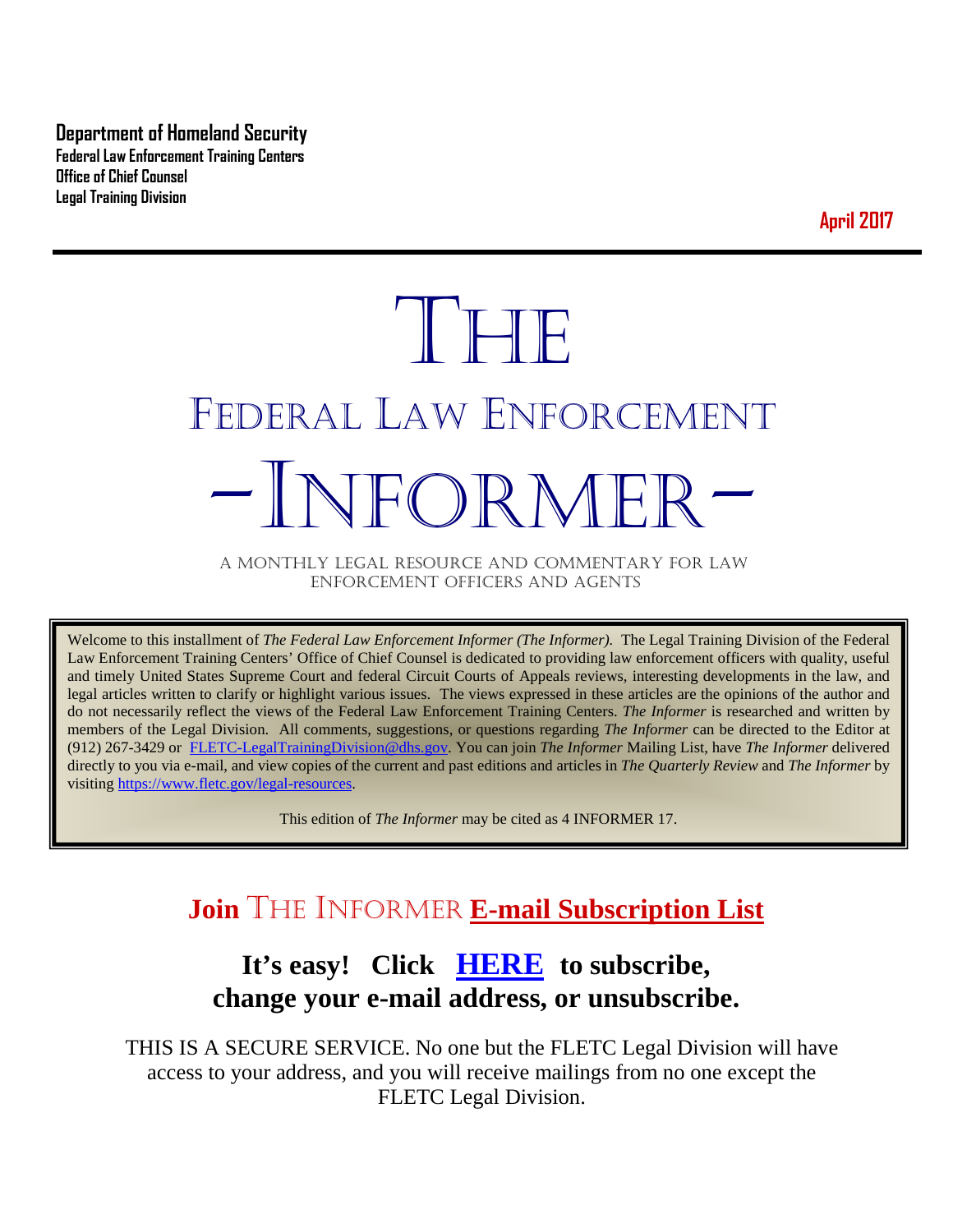**Department of Homeland Security Federal Law Enforcement Training Centers Office of Chief Counsel Legal Training Division** 

**April 2017**

# THE FEDERAL LAW ENFORCEMENT -INFORMER- A MONTHLY LEGAL RESOURCE AND COMMENTARY FOR LAW

ENFORCEMENT OFFICERS AND AGENTS

Welcome to this installment of *The Federal Law Enforcement Informer (The Informer).* The Legal Training Division of the Federal Law Enforcement Training Centers' Office of Chief Counsel is dedicated to providing law enforcement officers with quality, useful and timely United States Supreme Court and federal Circuit Courts of Appeals reviews, interesting developments in the law, and legal articles written to clarify or highlight various issues. The views expressed in these articles are the opinions of the author and do not necessarily reflect the views of the Federal Law Enforcement Training Centers. *The Informer* is researched and written by members of the Legal Division. All comments, suggestions, or questions regarding *The Informer* can be directed to the Editor at (912) 267-3429 or [FLETC-LegalTrainingDivision@dhs.gov.](mailto:FLETC-LegalTrainingDivision@dhs.gov) You can join *The Informer* Mailing List, have *The Informer* delivered directly to you via e-mail, and view copies of the current and past editions and articles in *The Quarterly Review* and *The Informer* by visiting [https://www.fletc.gov/legal-resources.](https://www.fletc.gov/legal-resources) 

This edition of *The Informer* may be cited as 4 INFORMER 17.

# **Join** THE INFORMER **E-mail Subscription List**

# **It's easy! Click [HERE](http://peach.ease.lsoft.com/scripts/wa.exe?SUBED1=fletclgd&A=1) to subscribe, change your e-mail address, or unsubscribe.**

THIS IS A SECURE SERVICE. No one but the FLETC Legal Division will have access to your address, and you will receive mailings from no one except the FLETC Legal Division.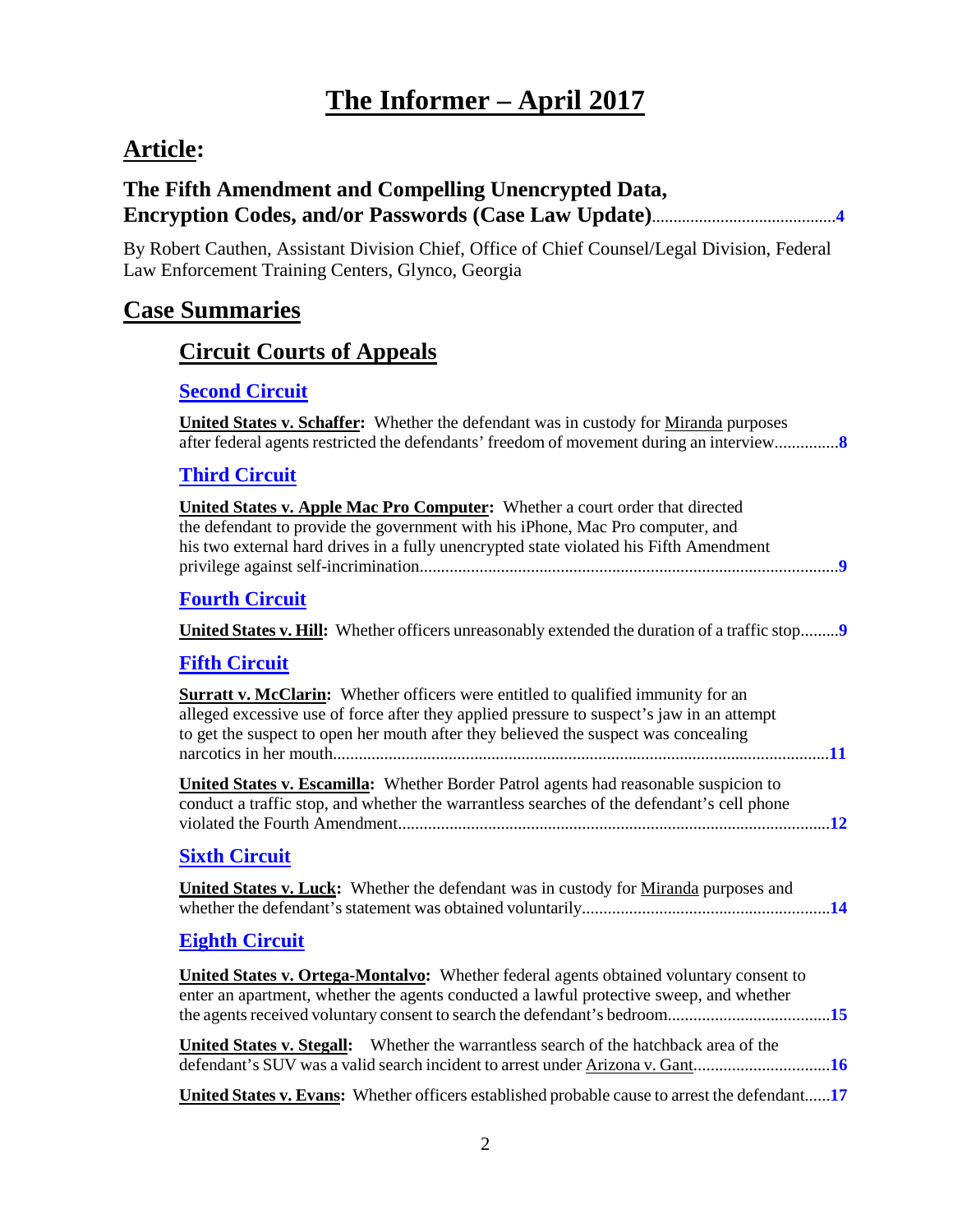# **Article:**

### **The Fifth Amendment and Compelling Unencrypted Data, Encryption Codes, and/or Passwords (Case Law Update)**...........................................**[4](#page-3-0)**

By Robert Cauthen, Assistant Division Chief, Office of Chief Counsel/Legal Division, Federal Law Enforcement Training Centers, Glynco, Georgia

# **Case Summaries**

### **[Circuit Courts of Appeals](#page-7-0)**

### **[Second Circuit](#page-7-1)**

| United States v. Schaffer: Whether the defendant was in custody for Miranda purposes<br>after federal agents restricted the defendants' freedom of movement during an interview                                                                                             |
|-----------------------------------------------------------------------------------------------------------------------------------------------------------------------------------------------------------------------------------------------------------------------------|
| <b>Third Circuit</b>                                                                                                                                                                                                                                                        |
| United States v. Apple Mac Pro Computer: Whether a court order that directed<br>the defendant to provide the government with his iPhone, Mac Pro computer, and<br>his two external hard drives in a fully unencrypted state violated his Fifth Amendment                    |
| <b>Fourth Circuit</b>                                                                                                                                                                                                                                                       |
|                                                                                                                                                                                                                                                                             |
| <b>Fifth Circuit</b>                                                                                                                                                                                                                                                        |
| <b>Surratt v. McClarin:</b> Whether officers were entitled to qualified immunity for an<br>alleged excessive use of force after they applied pressure to suspect's jaw in an attempt<br>to get the suspect to open her mouth after they believed the suspect was concealing |
| United States v. Escamilla: Whether Border Patrol agents had reasonable suspicion to<br>conduct a traffic stop, and whether the warrantless searches of the defendant's cell phone                                                                                          |
| <b>Sixth Circuit</b>                                                                                                                                                                                                                                                        |
| <b>United States v. Luck:</b> Whether the defendant was in custody for Miranda purposes and                                                                                                                                                                                 |
| <b>Eighth Circuit</b>                                                                                                                                                                                                                                                       |
| <b>United States v. Ortega-Montalvo:</b> Whether federal agents obtained voluntary consent to<br>enter an apartment, whether the agents conducted a lawful protective sweep, and whether                                                                                    |
| United States v. Stegall: Whether the warrantless search of the hatchback area of the<br>defendant's SUV was a valid search incident to arrest under Arizona v. Gant16                                                                                                      |

**United States v. Evans:** Whether officers established probable cause to arrest the defendant......**[17](#page-16-0)**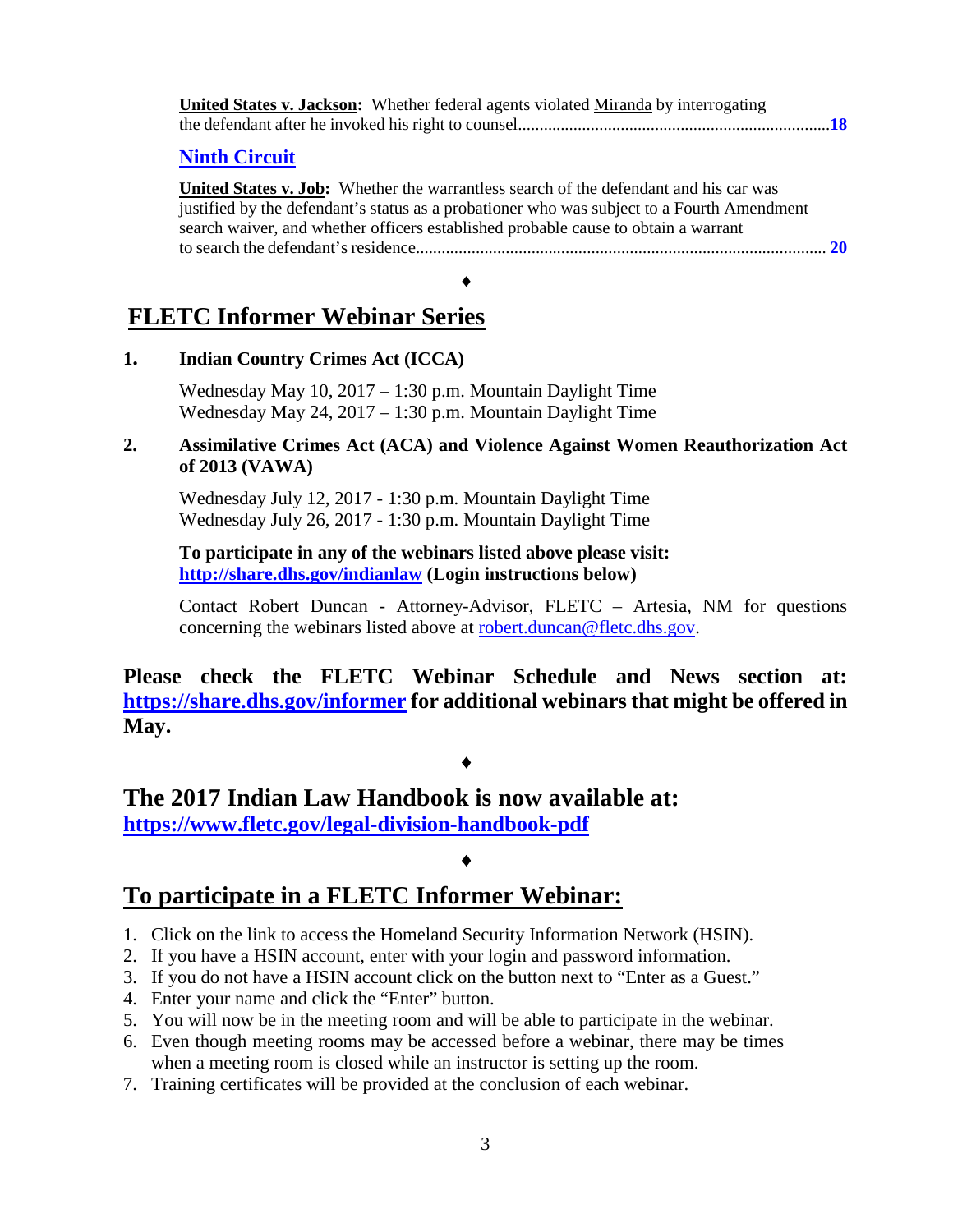| <b>Ninth Circuit</b>                                                                                                                                                                                                                                                      |  |
|---------------------------------------------------------------------------------------------------------------------------------------------------------------------------------------------------------------------------------------------------------------------------|--|
| United States v. Job: Whether the warrantless search of the defendant and his car was<br>justified by the defendant's status as a probationer who was subject to a Fourth Amendment<br>search waiver, and whether officers established probable cause to obtain a warrant |  |
|                                                                                                                                                                                                                                                                           |  |

# **1. Indian Country Crimes Act (ICCA)**

Wednesday May 10, 2017 – 1:30 p.m. Mountain Daylight Time Wednesday May 24, 2017 – 1:30 p.m. Mountain Daylight Time

### **2. Assimilative Crimes Act (ACA) and Violence Against Women Reauthorization Act of 2013 (VAWA)**

Wednesday July 12, 2017 - 1:30 p.m. Mountain Daylight Time Wednesday July 26, 2017 - 1:30 p.m. Mountain Daylight Time

**To participate in any of the webinars listed above please visit: <http://share.dhs.gov/indianlaw> (Login instructions below)**

Contact Robert Duncan - Attorney-Advisor, FLETC – Artesia, NM for questions concerning the webinars listed above at [robert.duncan@fletc.dhs.gov.](mailto:robert.duncan@fletc.dhs.gov)

**Please check the FLETC Webinar Schedule and News section at: <https://share.dhs.gov/informer> for additional webinars that might be offered in May.**

### ♦

**The 2017 Indian Law Handbook is now available at: <https://www.fletc.gov/legal-division-handbook-pdf>**

### ♦

# **To participate in a FLETC Informer Webinar:**

- 1. Click on the link to access the Homeland Security Information Network (HSIN).
- 2. If you have a HSIN account, enter with your login and password information.
- 3. If you do not have a HSIN account click on the button next to "Enter as a Guest."
- 4. Enter your name and click the "Enter" button.
- 5. You will now be in the meeting room and will be able to participate in the webinar.
- 6. Even though meeting rooms may be accessed before a webinar, there may be times when a meeting room is closed while an instructor is setting up the room.
- 7. Training certificates will be provided at the conclusion of each webinar.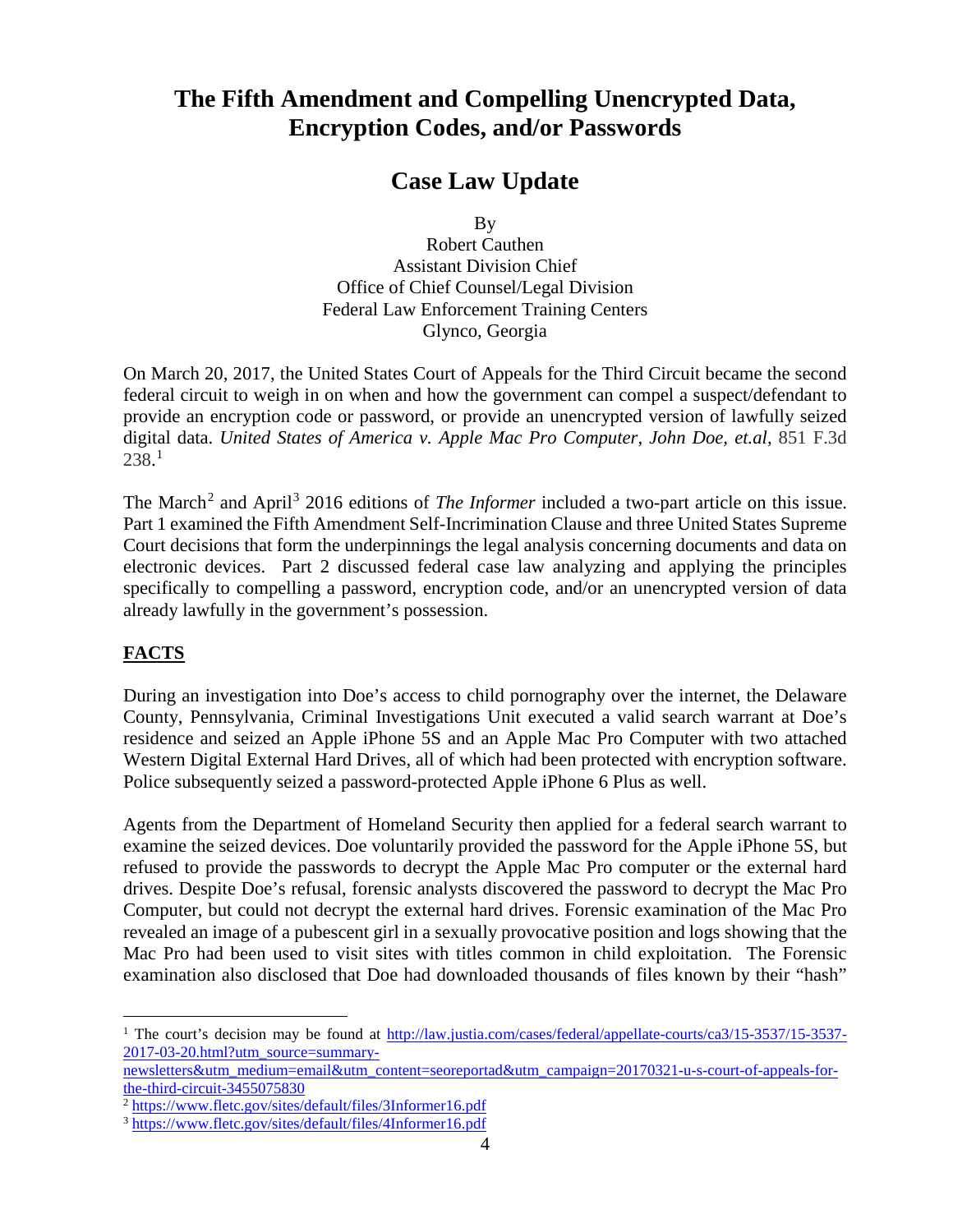# <span id="page-3-0"></span>**The Fifth Amendment and Compelling Unencrypted Data, Encryption Codes, and/or Passwords**

### **Case Law Update**

By

Robert Cauthen Assistant Division Chief Office of Chief Counsel/Legal Division Federal Law Enforcement Training Centers Glynco, Georgia

On March 20, 2017, the United States Court of Appeals for the Third Circuit became the second federal circuit to weigh in on when and how the government can compel a suspect/defendant to provide an encryption code or password, or provide an unencrypted version of lawfully seized digital data. *United States of America v. Apple Mac Pro Computer, John Doe, et.al,* 851 F.3d 238. [1](#page-3-1)

The March<sup>[2](#page-3-2)</sup> and April<sup>[3](#page-3-3)</sup> 2016 editions of *The Informer* included a two-part article on this issue. Part 1 examined the Fifth Amendment Self-Incrimination Clause and three United States Supreme Court decisions that form the underpinnings the legal analysis concerning documents and data on electronic devices. Part 2 discussed federal case law analyzing and applying the principles specifically to compelling a password, encryption code, and/or an unencrypted version of data already lawfully in the government's possession.

### **FACTS**

During an investigation into Doe's access to child pornography over the internet, the Delaware County, Pennsylvania, Criminal Investigations Unit executed a valid search warrant at Doe's residence and seized an Apple iPhone 5S and an Apple Mac Pro Computer with two attached Western Digital External Hard Drives, all of which had been protected with encryption software. Police subsequently seized a password-protected Apple iPhone 6 Plus as well.

Agents from the Department of Homeland Security then applied for a federal search warrant to examine the seized devices. Doe voluntarily provided the password for the Apple iPhone 5S, but refused to provide the passwords to decrypt the Apple Mac Pro computer or the external hard drives. Despite Doe's refusal, forensic analysts discovered the password to decrypt the Mac Pro Computer, but could not decrypt the external hard drives. Forensic examination of the Mac Pro revealed an image of a pubescent girl in a sexually provocative position and logs showing that the Mac Pro had been used to visit sites with titles common in child exploitation. The Forensic examination also disclosed that Doe had downloaded thousands of files known by their "hash"

<span id="page-3-1"></span><sup>&</sup>lt;sup>1</sup> The court's decision may be found at [http://law.justia.com/cases/federal/appellate-courts/ca3/15-3537/15-3537-](http://law.justia.com/cases/federal/appellate-courts/ca3/15-3537/15-3537-2017-03-20.html?utm_source=summary-newsletters&utm_medium=email&utm_content=seoreportad&utm_campaign=20170321-u-s-court-of-appeals-for-the-third-circuit-3455075830) [2017-03-20.html?utm\\_source=summary-](http://law.justia.com/cases/federal/appellate-courts/ca3/15-3537/15-3537-2017-03-20.html?utm_source=summary-newsletters&utm_medium=email&utm_content=seoreportad&utm_campaign=20170321-u-s-court-of-appeals-for-the-third-circuit-3455075830)

[newsletters&utm\\_medium=email&utm\\_content=seoreportad&utm\\_campaign=20170321-u-s-court-of-appeals-for](http://law.justia.com/cases/federal/appellate-courts/ca3/15-3537/15-3537-2017-03-20.html?utm_source=summary-newsletters&utm_medium=email&utm_content=seoreportad&utm_campaign=20170321-u-s-court-of-appeals-for-the-third-circuit-3455075830)[the-third-circuit-3455075830](http://law.justia.com/cases/federal/appellate-courts/ca3/15-3537/15-3537-2017-03-20.html?utm_source=summary-newsletters&utm_medium=email&utm_content=seoreportad&utm_campaign=20170321-u-s-court-of-appeals-for-the-third-circuit-3455075830)

<span id="page-3-2"></span><sup>2</sup> <https://www.fletc.gov/sites/default/files/3Informer16.pdf>

<span id="page-3-3"></span><sup>3</sup> <https://www.fletc.gov/sites/default/files/4Informer16.pdf>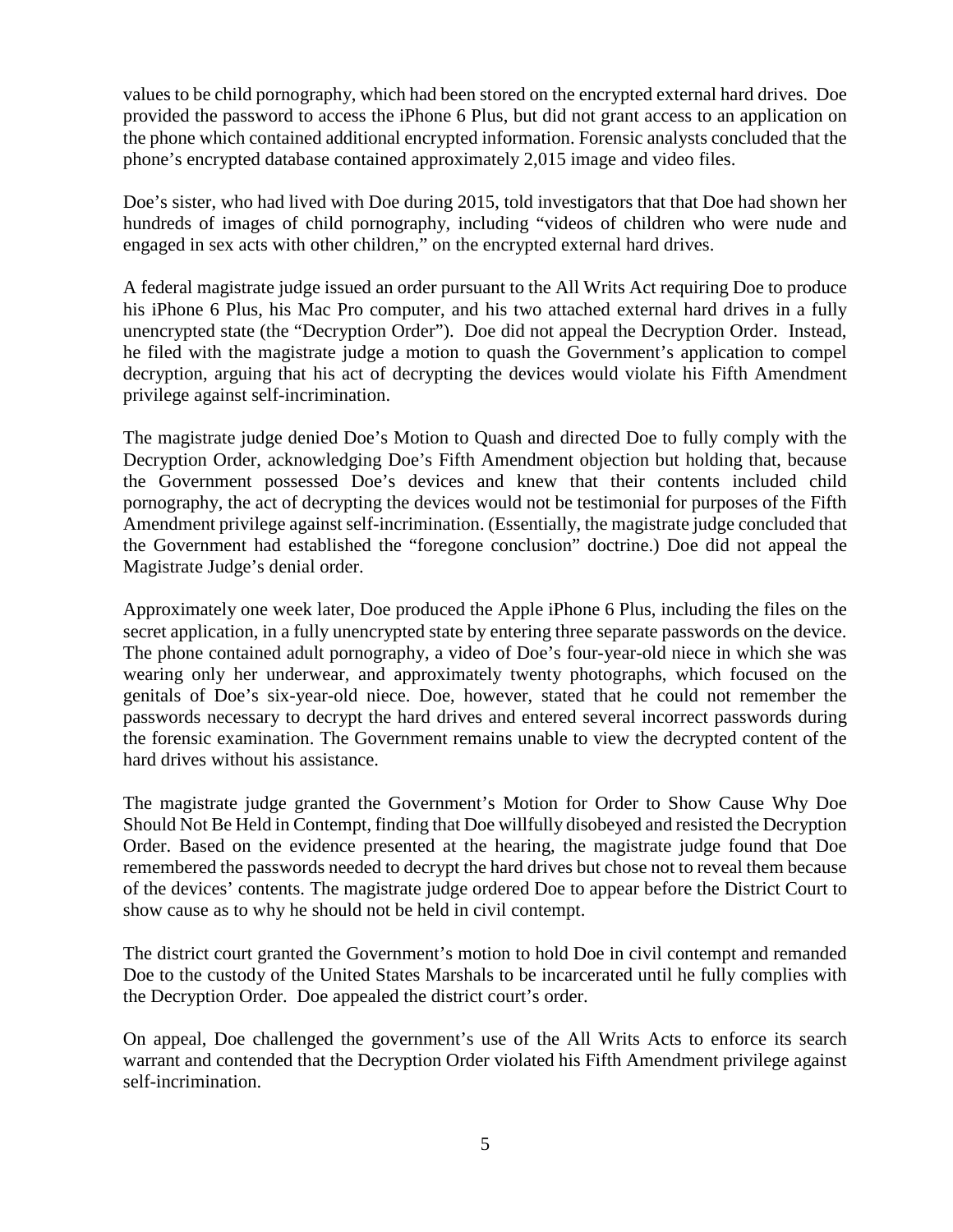values to be child pornography, which had been stored on the encrypted external hard drives. Doe provided the password to access the iPhone 6 Plus, but did not grant access to an application on the phone which contained additional encrypted information. Forensic analysts concluded that the phone's encrypted database contained approximately 2,015 image and video files.

Doe's sister, who had lived with Doe during 2015, told investigators that that Doe had shown her hundreds of images of child pornography, including "videos of children who were nude and engaged in sex acts with other children," on the encrypted external hard drives.

A federal magistrate judge issued an order pursuant to the All Writs Act requiring Doe to produce his iPhone 6 Plus, his Mac Pro computer, and his two attached external hard drives in a fully unencrypted state (the "Decryption Order"). Doe did not appeal the Decryption Order. Instead, he filed with the magistrate judge a motion to quash the Government's application to compel decryption, arguing that his act of decrypting the devices would violate his Fifth Amendment privilege against self-incrimination.

The magistrate judge denied Doe's Motion to Quash and directed Doe to fully comply with the Decryption Order, acknowledging Doe's Fifth Amendment objection but holding that, because the Government possessed Doe's devices and knew that their contents included child pornography, the act of decrypting the devices would not be testimonial for purposes of the Fifth Amendment privilege against self-incrimination. (Essentially, the magistrate judge concluded that the Government had established the "foregone conclusion" doctrine.) Doe did not appeal the Magistrate Judge's denial order.

Approximately one week later, Doe produced the Apple iPhone 6 Plus, including the files on the secret application, in a fully unencrypted state by entering three separate passwords on the device. The phone contained adult pornography, a video of Doe's four-year-old niece in which she was wearing only her underwear, and approximately twenty photographs, which focused on the genitals of Doe's six-year-old niece. Doe, however, stated that he could not remember the passwords necessary to decrypt the hard drives and entered several incorrect passwords during the forensic examination. The Government remains unable to view the decrypted content of the hard drives without his assistance.

The magistrate judge granted the Government's Motion for Order to Show Cause Why Doe Should Not Be Held in Contempt, finding that Doe willfully disobeyed and resisted the Decryption Order. Based on the evidence presented at the hearing, the magistrate judge found that Doe remembered the passwords needed to decrypt the hard drives but chose not to reveal them because of the devices' contents. The magistrate judge ordered Doe to appear before the District Court to show cause as to why he should not be held in civil contempt.

The district court granted the Government's motion to hold Doe in civil contempt and remanded Doe to the custody of the United States Marshals to be incarcerated until he fully complies with the Decryption Order. Doe appealed the district court's order.

On appeal, Doe challenged the government's use of the All Writs Acts to enforce its search warrant and contended that the Decryption Order violated his Fifth Amendment privilege against self-incrimination.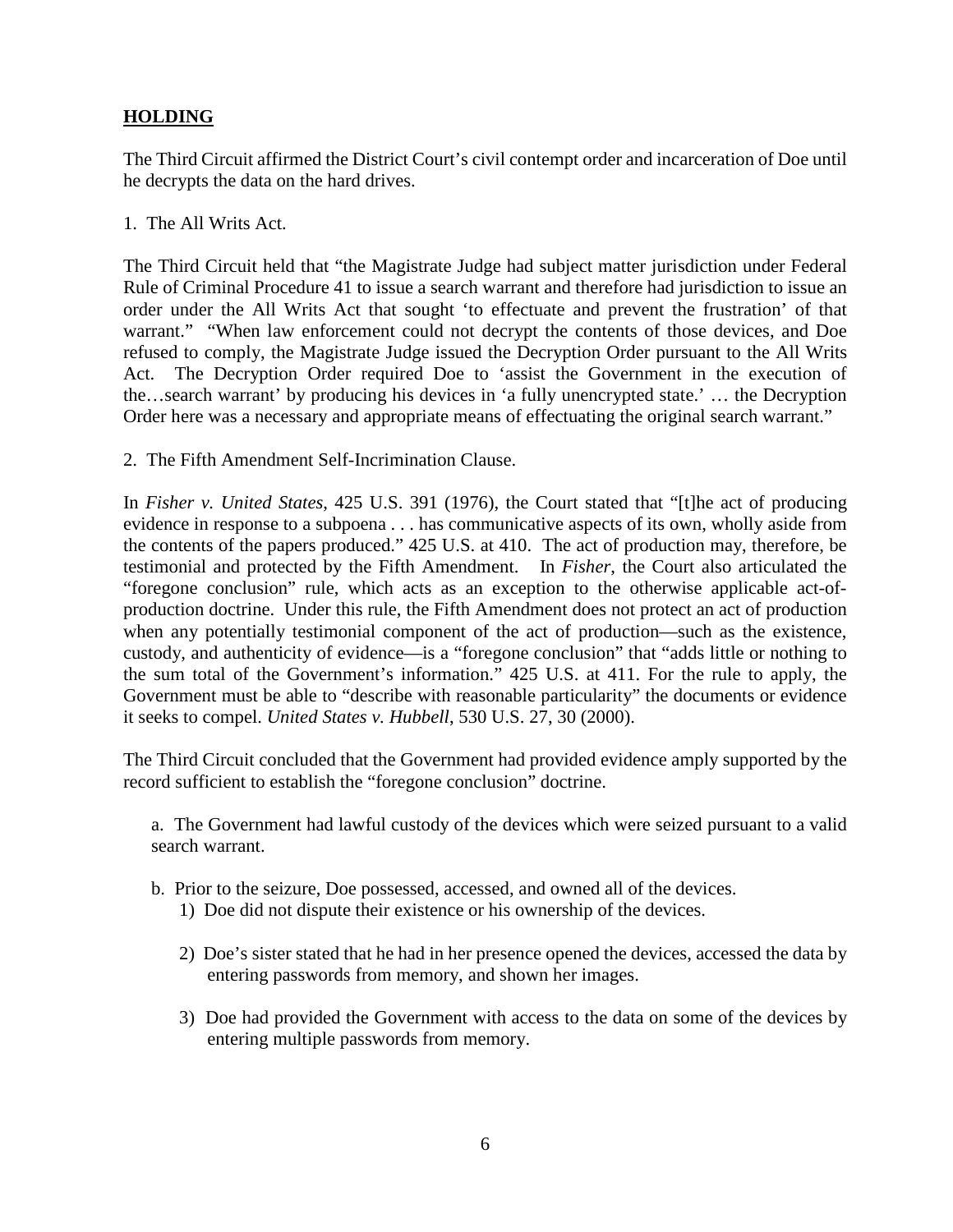### **HOLDING**

The Third Circuit affirmed the District Court's civil contempt order and incarceration of Doe until he decrypts the data on the hard drives.

1. The All Writs Act.

The Third Circuit held that "the Magistrate Judge had subject matter jurisdiction under Federal Rule of Criminal Procedure 41 to issue a search warrant and therefore had jurisdiction to issue an order under the All Writs Act that sought 'to effectuate and prevent the frustration' of that warrant." "When law enforcement could not decrypt the contents of those devices, and Doe refused to comply, the Magistrate Judge issued the Decryption Order pursuant to the All Writs Act. The Decryption Order required Doe to 'assist the Government in the execution of the…search warrant' by producing his devices in 'a fully unencrypted state.' … the Decryption Order here was a necessary and appropriate means of effectuating the original search warrant."

2. The Fifth Amendment Self-Incrimination Clause.

In *Fisher v. United States*, 425 U.S. 391 (1976), the Court stated that "[t]he act of producing evidence in response to a subpoena . . . has communicative aspects of its own, wholly aside from the contents of the papers produced." 425 U.S. at 410. The act of production may, therefore, be testimonial and protected by the Fifth Amendment. In *Fisher*, the Court also articulated the "foregone conclusion" rule, which acts as an exception to the otherwise applicable act-ofproduction doctrine. Under this rule, the Fifth Amendment does not protect an act of production when any potentially testimonial component of the act of production—such as the existence, custody, and authenticity of evidence—is a "foregone conclusion" that "adds little or nothing to the sum total of the Government's information." 425 U.S. at 411. For the rule to apply, the Government must be able to "describe with reasonable particularity" the documents or evidence it seeks to compel. *United States v. Hubbell*, 530 U.S. 27, 30 (2000).

The Third Circuit concluded that the Government had provided evidence amply supported by the record sufficient to establish the "foregone conclusion" doctrine.

a. The Government had lawful custody of the devices which were seized pursuant to a valid search warrant.

- b. Prior to the seizure, Doe possessed, accessed, and owned all of the devices.
	- 1) Doe did not dispute their existence or his ownership of the devices.
	- 2) Doe's sister stated that he had in her presence opened the devices, accessed the data by entering passwords from memory, and shown her images.
	- 3) Doe had provided the Government with access to the data on some of the devices by entering multiple passwords from memory.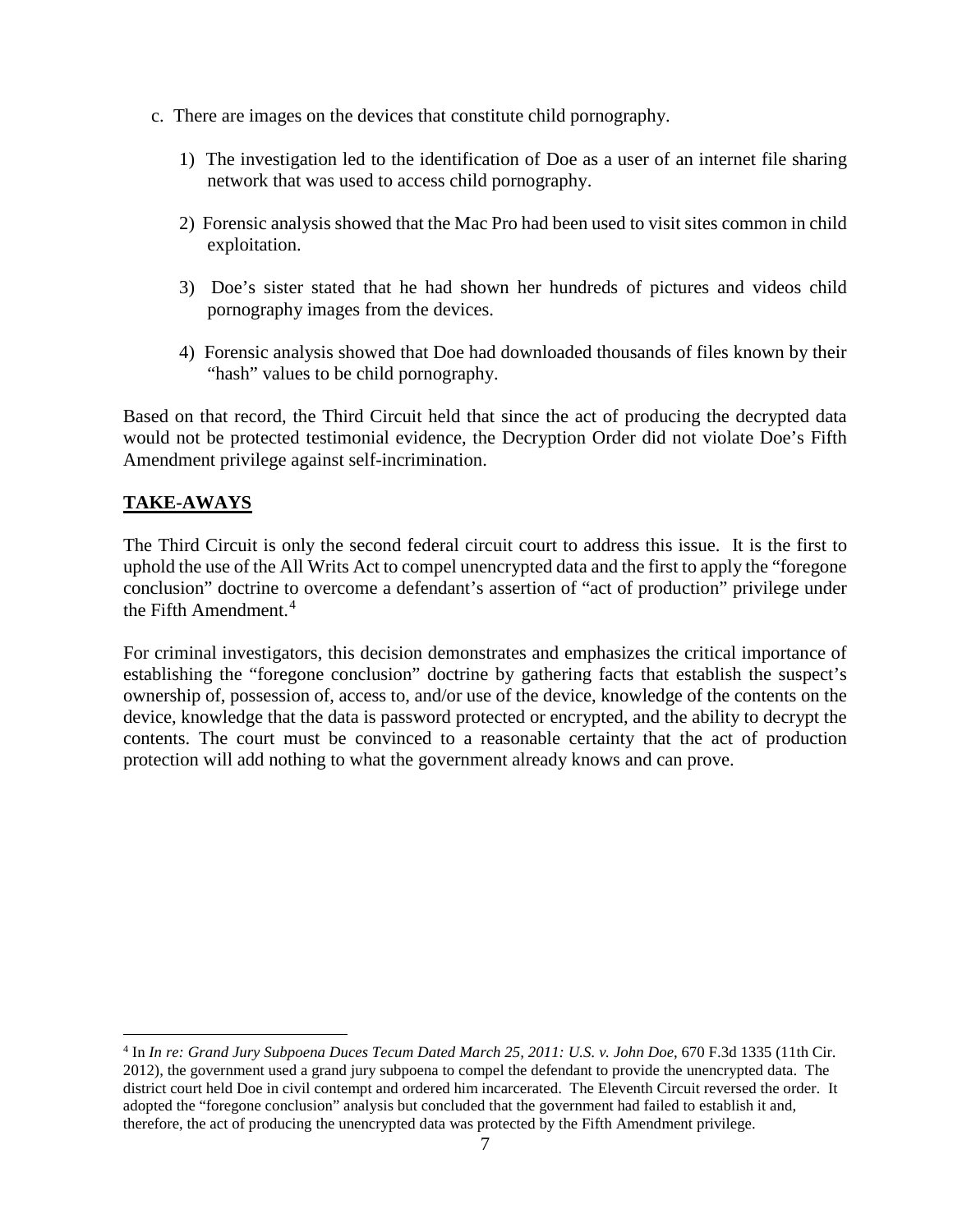- c. There are images on the devices that constitute child pornography.
	- 1) The investigation led to the identification of Doe as a user of an internet file sharing network that was used to access child pornography.
	- 2) Forensic analysis showed that the Mac Pro had been used to visit sites common in child exploitation.
	- 3) Doe's sister stated that he had shown her hundreds of pictures and videos child pornography images from the devices.
	- 4) Forensic analysis showed that Doe had downloaded thousands of files known by their "hash" values to be child pornography.

Based on that record, the Third Circuit held that since the act of producing the decrypted data would not be protected testimonial evidence, the Decryption Order did not violate Doe's Fifth Amendment privilege against self-incrimination.

### **TAKE-AWAYS**

The Third Circuit is only the second federal circuit court to address this issue. It is the first to uphold the use of the All Writs Act to compel unencrypted data and the first to apply the "foregone conclusion" doctrine to overcome a defendant's assertion of "act of production" privilege under the Fifth Amendment.<sup>[4](#page-6-0)</sup>

For criminal investigators, this decision demonstrates and emphasizes the critical importance of establishing the "foregone conclusion" doctrine by gathering facts that establish the suspect's ownership of, possession of, access to, and/or use of the device, knowledge of the contents on the device, knowledge that the data is password protected or encrypted, and the ability to decrypt the contents. The court must be convinced to a reasonable certainty that the act of production protection will add nothing to what the government already knows and can prove.

<span id="page-6-0"></span> <sup>4</sup> In *In re: Grand Jury Subpoena Duces Tecum Dated March 25, 2011: U.S. v. John Doe*, 670 F.3d 1335 (11th Cir. 2012), the government used a grand jury subpoena to compel the defendant to provide the unencrypted data. The district court held Doe in civil contempt and ordered him incarcerated. The Eleventh Circuit reversed the order. It adopted the "foregone conclusion" analysis but concluded that the government had failed to establish it and, therefore, the act of producing the unencrypted data was protected by the Fifth Amendment privilege.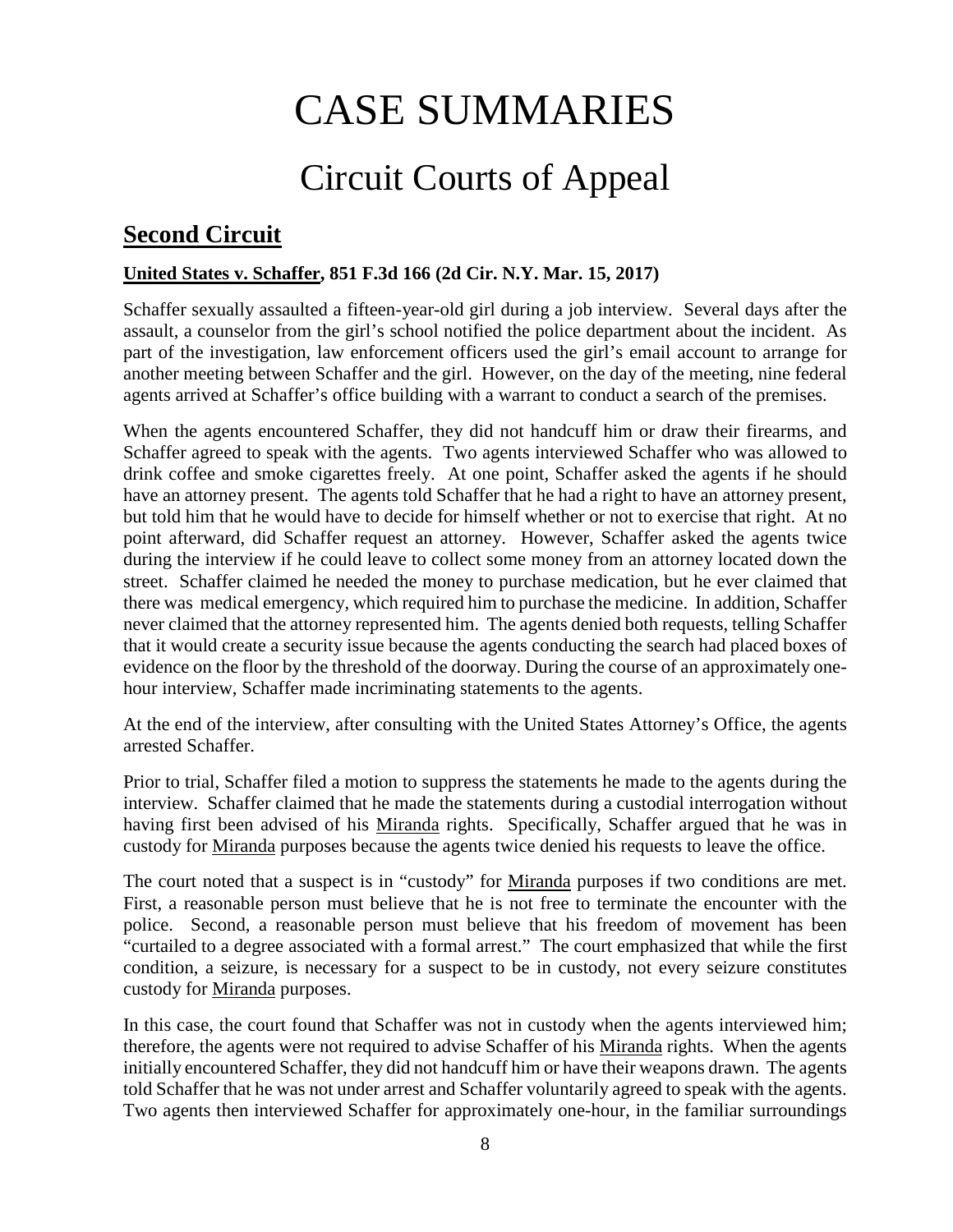# CASE SUMMARIES

# Circuit Courts of Appeal

# <span id="page-7-1"></span><span id="page-7-0"></span>**Second Circuit**

### <span id="page-7-2"></span>**United States v. Schaffer, 851 F.3d 166 (2d Cir. N.Y. Mar. 15, 2017)**

Schaffer sexually assaulted a fifteen-year-old girl during a job interview. Several days after the assault, a counselor from the girl's school notified the police department about the incident. As part of the investigation, law enforcement officers used the girl's email account to arrange for another meeting between Schaffer and the girl. However, on the day of the meeting, nine federal agents arrived at Schaffer's office building with a warrant to conduct a search of the premises.

When the agents encountered Schaffer, they did not handcuff him or draw their firearms, and Schaffer agreed to speak with the agents. Two agents interviewed Schaffer who was allowed to drink coffee and smoke cigarettes freely. At one point, Schaffer asked the agents if he should have an attorney present. The agents told Schaffer that he had a right to have an attorney present, but told him that he would have to decide for himself whether or not to exercise that right. At no point afterward, did Schaffer request an attorney. However, Schaffer asked the agents twice during the interview if he could leave to collect some money from an attorney located down the street. Schaffer claimed he needed the money to purchase medication, but he ever claimed that there was medical emergency, which required him to purchase the medicine. In addition, Schaffer never claimed that the attorney represented him. The agents denied both requests, telling Schaffer that it would create a security issue because the agents conducting the search had placed boxes of evidence on the floor by the threshold of the doorway. During the course of an approximately onehour interview, Schaffer made incriminating statements to the agents.

At the end of the interview, after consulting with the United States Attorney's Office, the agents arrested Schaffer.

Prior to trial, Schaffer filed a motion to suppress the statements he made to the agents during the interview. Schaffer claimed that he made the statements during a custodial interrogation without having first been advised of his Miranda rights. Specifically, Schaffer argued that he was in custody for Miranda purposes because the agents twice denied his requests to leave the office.

The court noted that a suspect is in "custody" for Miranda purposes if two conditions are met. First, a reasonable person must believe that he is not free to terminate the encounter with the police. Second, a reasonable person must believe that his freedom of movement has been "curtailed to a degree associated with a formal arrest." The court emphasized that while the first condition, a seizure, is necessary for a suspect to be in custody, not every seizure constitutes custody for Miranda purposes.

In this case, the court found that Schaffer was not in custody when the agents interviewed him; therefore, the agents were not required to advise Schaffer of his Miranda rights. When the agents initially encountered Schaffer, they did not handcuff him or have their weapons drawn. The agents told Schaffer that he was not under arrest and Schaffer voluntarily agreed to speak with the agents. Two agents then interviewed Schaffer for approximately one-hour, in the familiar surroundings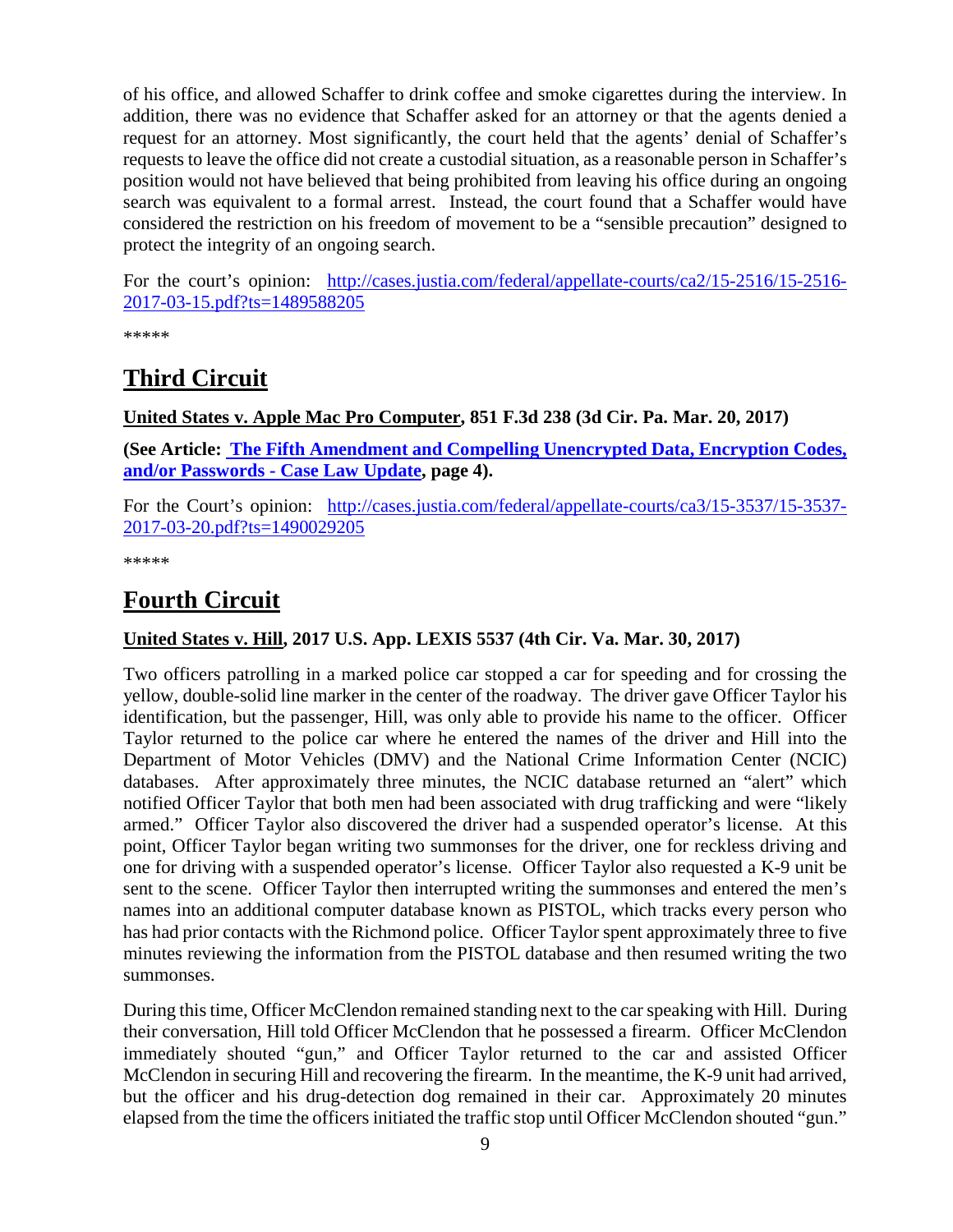of his office, and allowed Schaffer to drink coffee and smoke cigarettes during the interview. In addition, there was no evidence that Schaffer asked for an attorney or that the agents denied a request for an attorney. Most significantly, the court held that the agents' denial of Schaffer's requests to leave the office did not create a custodial situation, as a reasonable person in Schaffer's position would not have believed that being prohibited from leaving his office during an ongoing search was equivalent to a formal arrest. Instead, the court found that a Schaffer would have considered the restriction on his freedom of movement to be a "sensible precaution" designed to protect the integrity of an ongoing search.

For the court's opinion: [http://cases.justia.com/federal/appellate-courts/ca2/15-2516/15-2516-](http://cases.justia.com/federal/appellate-courts/ca2/15-2516/15-2516-2017-03-15.pdf?ts=1489588205) [2017-03-15.pdf?ts=1489588205](http://cases.justia.com/federal/appellate-courts/ca2/15-2516/15-2516-2017-03-15.pdf?ts=1489588205)

\*\*\*\*\*

# <span id="page-8-0"></span>**Third Circuit**

<span id="page-8-1"></span>**United States v. Apple Mac Pro Computer, 851 F.3d 238 (3d Cir. Pa. Mar. 20, 2017)**

**(See Article: [The Fifth Amendment and Compelling Unencrypted Data, Encryption Codes,](#page-3-0)  [and/or Passwords -](#page-3-0) Case Law Update, page 4).**

For the Court's opinion: [http://cases.justia.com/federal/appellate-courts/ca3/15-3537/15-3537-](http://cases.justia.com/federal/appellate-courts/ca3/15-3537/15-3537-2017-03-20.pdf?ts=1490029205) [2017-03-20.pdf?ts=1490029205](http://cases.justia.com/federal/appellate-courts/ca3/15-3537/15-3537-2017-03-20.pdf?ts=1490029205)

\*\*\*\*\*

# <span id="page-8-2"></span>**Fourth Circuit**

### <span id="page-8-3"></span>**United States v. Hill, 2017 U.S. App. LEXIS 5537 (4th Cir. Va. Mar. 30, 2017)**

Two officers patrolling in a marked police car stopped a car for speeding and for crossing the yellow, double-solid line marker in the center of the roadway. The driver gave Officer Taylor his identification, but the passenger, Hill, was only able to provide his name to the officer. Officer Taylor returned to the police car where he entered the names of the driver and Hill into the Department of Motor Vehicles (DMV) and the National Crime Information Center (NCIC) databases. After approximately three minutes, the NCIC database returned an "alert" which notified Officer Taylor that both men had been associated with drug trafficking and were "likely armed." Officer Taylor also discovered the driver had a suspended operator's license. At this point, Officer Taylor began writing two summonses for the driver, one for reckless driving and one for driving with a suspended operator's license. Officer Taylor also requested a K-9 unit be sent to the scene. Officer Taylor then interrupted writing the summonses and entered the men's names into an additional computer database known as PISTOL, which tracks every person who has had prior contacts with the Richmond police. Officer Taylor spent approximately three to five minutes reviewing the information from the PISTOL database and then resumed writing the two summonses.

During this time, Officer McClendon remained standing next to the car speaking with Hill. During their conversation, Hill told Officer McClendon that he possessed a firearm. Officer McClendon immediately shouted "gun," and Officer Taylor returned to the car and assisted Officer McClendon in securing Hill and recovering the firearm. In the meantime, the K-9 unit had arrived, but the officer and his drug-detection dog remained in their car. Approximately 20 minutes elapsed from the time the officers initiated the traffic stop until Officer McClendon shouted "gun."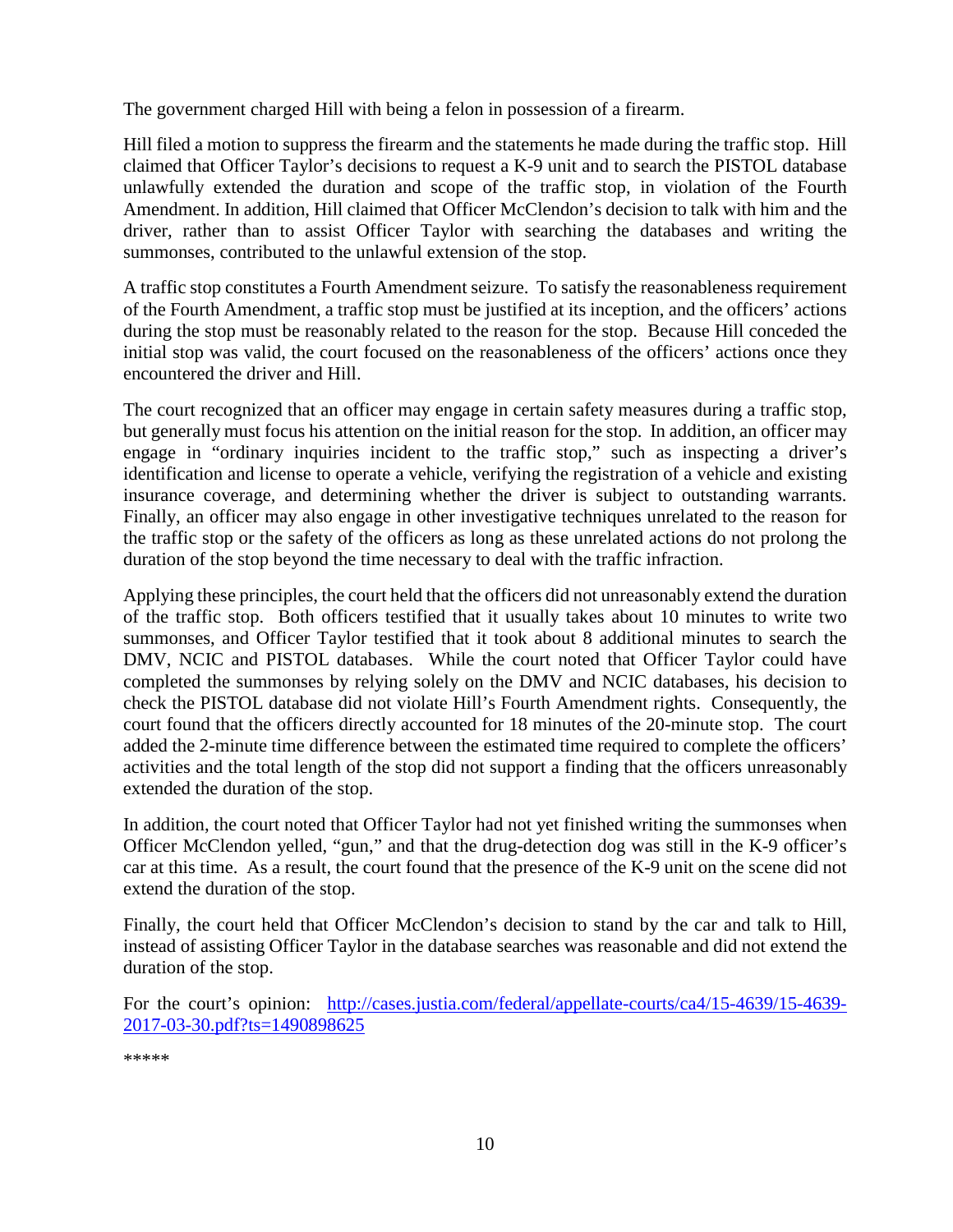The government charged Hill with being a felon in possession of a firearm.

Hill filed a motion to suppress the firearm and the statements he made during the traffic stop. Hill claimed that Officer Taylor's decisions to request a K-9 unit and to search the PISTOL database unlawfully extended the duration and scope of the traffic stop, in violation of the Fourth Amendment. In addition, Hill claimed that Officer McClendon's decision to talk with him and the driver, rather than to assist Officer Taylor with searching the databases and writing the summonses, contributed to the unlawful extension of the stop.

A traffic stop constitutes a Fourth Amendment seizure. To satisfy the reasonableness requirement of the Fourth Amendment, a traffic stop must be justified at its inception, and the officers' actions during the stop must be reasonably related to the reason for the stop. Because Hill conceded the initial stop was valid, the court focused on the reasonableness of the officers' actions once they encountered the driver and Hill.

The court recognized that an officer may engage in certain safety measures during a traffic stop, but generally must focus his attention on the initial reason for the stop. In addition, an officer may engage in "ordinary inquiries incident to the traffic stop," such as inspecting a driver's identification and license to operate a vehicle, verifying the registration of a vehicle and existing insurance coverage, and determining whether the driver is subject to outstanding warrants. Finally, an officer may also engage in other investigative techniques unrelated to the reason for the traffic stop or the safety of the officers as long as these unrelated actions do not prolong the duration of the stop beyond the time necessary to deal with the traffic infraction.

Applying these principles, the court held that the officers did not unreasonably extend the duration of the traffic stop. Both officers testified that it usually takes about 10 minutes to write two summonses, and Officer Taylor testified that it took about 8 additional minutes to search the DMV, NCIC and PISTOL databases. While the court noted that Officer Taylor could have completed the summonses by relying solely on the DMV and NCIC databases, his decision to check the PISTOL database did not violate Hill's Fourth Amendment rights. Consequently, the court found that the officers directly accounted for 18 minutes of the 20-minute stop. The court added the 2-minute time difference between the estimated time required to complete the officers' activities and the total length of the stop did not support a finding that the officers unreasonably extended the duration of the stop.

In addition, the court noted that Officer Taylor had not yet finished writing the summonses when Officer McClendon yelled, "gun," and that the drug-detection dog was still in the K-9 officer's car at this time. As a result, the court found that the presence of the K-9 unit on the scene did not extend the duration of the stop.

Finally, the court held that Officer McClendon's decision to stand by the car and talk to Hill, instead of assisting Officer Taylor in the database searches was reasonable and did not extend the duration of the stop.

For the court's opinion: [http://cases.justia.com/federal/appellate-courts/ca4/15-4639/15-4639-](http://cases.justia.com/federal/appellate-courts/ca4/15-4639/15-4639-2017-03-30.pdf?ts=1490898625) [2017-03-30.pdf?ts=1490898625](http://cases.justia.com/federal/appellate-courts/ca4/15-4639/15-4639-2017-03-30.pdf?ts=1490898625)

\*\*\*\*\*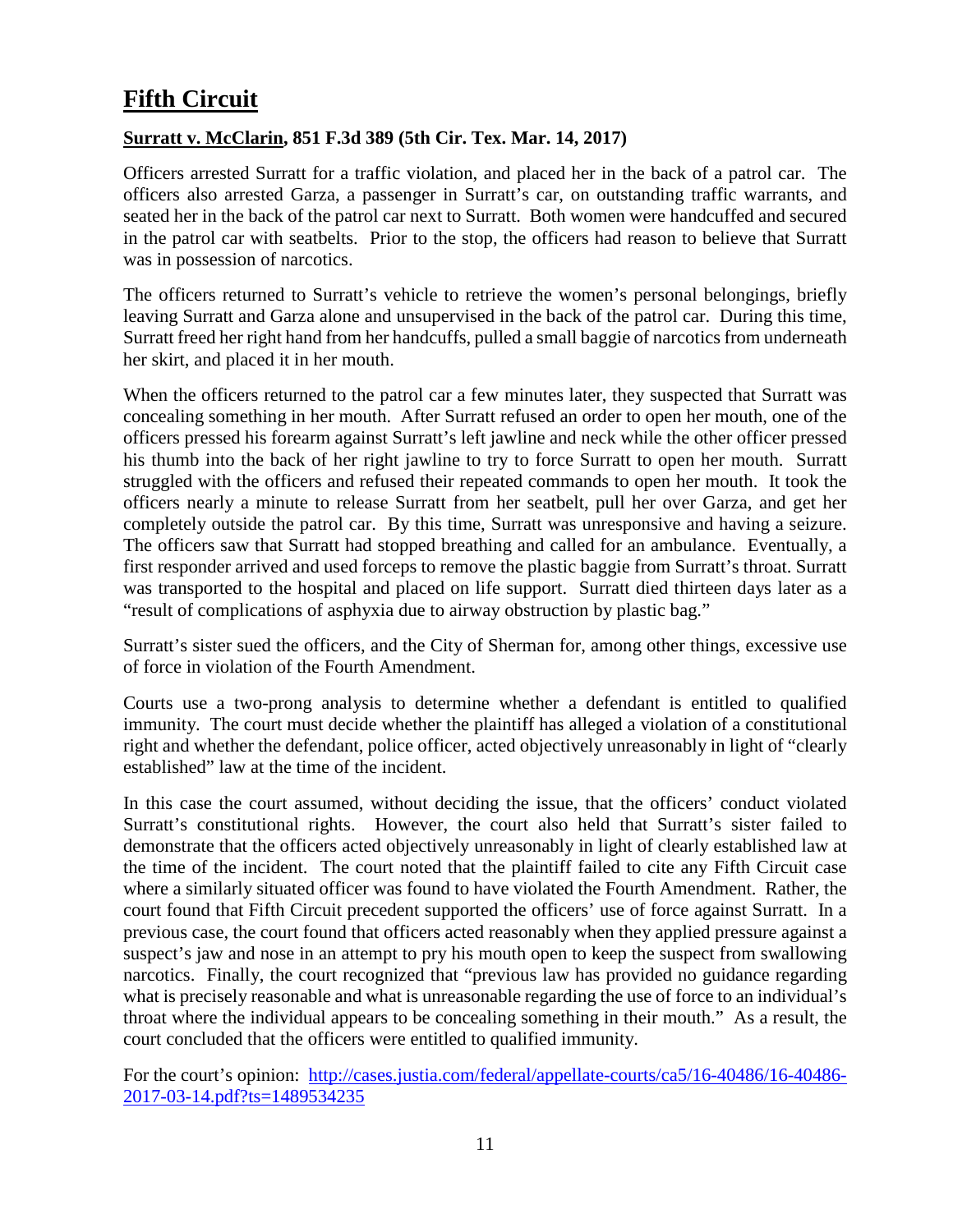# <span id="page-10-0"></span>**Fifth Circuit**

### <span id="page-10-1"></span>**Surratt v. McClarin, 851 F.3d 389 (5th Cir. Tex. Mar. 14, 2017)**

Officers arrested Surratt for a traffic violation, and placed her in the back of a patrol car. The officers also arrested Garza, a passenger in Surratt's car, on outstanding traffic warrants, and seated her in the back of the patrol car next to Surratt. Both women were handcuffed and secured in the patrol car with seatbelts. Prior to the stop, the officers had reason to believe that Surratt was in possession of narcotics.

The officers returned to Surratt's vehicle to retrieve the women's personal belongings, briefly leaving Surratt and Garza alone and unsupervised in the back of the patrol car. During this time, Surratt freed her right hand from her handcuffs, pulled a small baggie of narcotics from underneath her skirt, and placed it in her mouth.

When the officers returned to the patrol car a few minutes later, they suspected that Surratt was concealing something in her mouth. After Surratt refused an order to open her mouth, one of the officers pressed his forearm against Surratt's left jawline and neck while the other officer pressed his thumb into the back of her right jawline to try to force Surratt to open her mouth. Surratt struggled with the officers and refused their repeated commands to open her mouth. It took the officers nearly a minute to release Surratt from her seatbelt, pull her over Garza, and get her completely outside the patrol car. By this time, Surratt was unresponsive and having a seizure. The officers saw that Surratt had stopped breathing and called for an ambulance. Eventually, a first responder arrived and used forceps to remove the plastic baggie from Surratt's throat. Surratt was transported to the hospital and placed on life support. Surratt died thirteen days later as a "result of complications of asphyxia due to airway obstruction by plastic bag."

Surratt's sister sued the officers, and the City of Sherman for, among other things, excessive use of force in violation of the Fourth Amendment.

Courts use a two-prong analysis to determine whether a defendant is entitled to qualified immunity. The court must decide whether the plaintiff has alleged a violation of a constitutional right and whether the defendant, police officer, acted objectively unreasonably in light of "clearly established" law at the time of the incident.

In this case the court assumed, without deciding the issue, that the officers' conduct violated Surratt's constitutional rights. However, the court also held that Surratt's sister failed to demonstrate that the officers acted objectively unreasonably in light of clearly established law at the time of the incident. The court noted that the plaintiff failed to cite any Fifth Circuit case where a similarly situated officer was found to have violated the Fourth Amendment. Rather, the court found that Fifth Circuit precedent supported the officers' use of force against Surratt. In a previous case, the court found that officers acted reasonably when they applied pressure against a suspect's jaw and nose in an attempt to pry his mouth open to keep the suspect from swallowing narcotics. Finally, the court recognized that "previous law has provided no guidance regarding what is precisely reasonable and what is unreasonable regarding the use of force to an individual's throat where the individual appears to be concealing something in their mouth." As a result, the court concluded that the officers were entitled to qualified immunity.

For the court's opinion: [http://cases.justia.com/federal/appellate-courts/ca5/16-40486/16-40486-](http://cases.justia.com/federal/appellate-courts/ca5/16-40486/16-40486-2017-03-14.pdf?ts=1489534235) [2017-03-14.pdf?ts=1489534235](http://cases.justia.com/federal/appellate-courts/ca5/16-40486/16-40486-2017-03-14.pdf?ts=1489534235)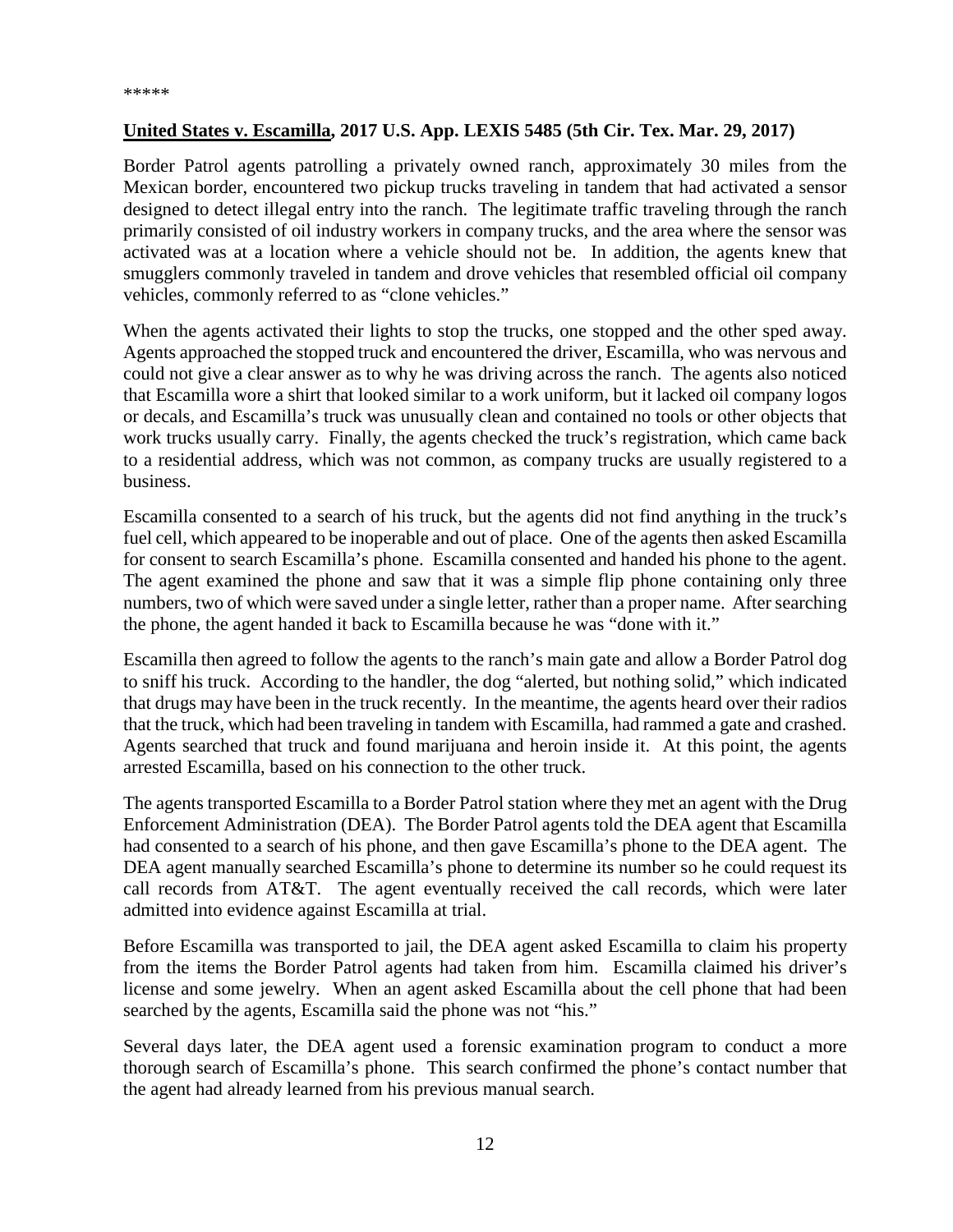### <span id="page-11-0"></span>**United States v. Escamilla, 2017 U.S. App. LEXIS 5485 (5th Cir. Tex. Mar. 29, 2017)**

Border Patrol agents patrolling a privately owned ranch, approximately 30 miles from the Mexican border, encountered two pickup trucks traveling in tandem that had activated a sensor designed to detect illegal entry into the ranch. The legitimate traffic traveling through the ranch primarily consisted of oil industry workers in company trucks, and the area where the sensor was activated was at a location where a vehicle should not be. In addition, the agents knew that smugglers commonly traveled in tandem and drove vehicles that resembled official oil company vehicles, commonly referred to as "clone vehicles."

When the agents activated their lights to stop the trucks, one stopped and the other sped away. Agents approached the stopped truck and encountered the driver, Escamilla, who was nervous and could not give a clear answer as to why he was driving across the ranch. The agents also noticed that Escamilla wore a shirt that looked similar to a work uniform, but it lacked oil company logos or decals, and Escamilla's truck was unusually clean and contained no tools or other objects that work trucks usually carry. Finally, the agents checked the truck's registration, which came back to a residential address, which was not common, as company trucks are usually registered to a business.

Escamilla consented to a search of his truck, but the agents did not find anything in the truck's fuel cell, which appeared to be inoperable and out of place. One of the agents then asked Escamilla for consent to search Escamilla's phone. Escamilla consented and handed his phone to the agent. The agent examined the phone and saw that it was a simple flip phone containing only three numbers, two of which were saved under a single letter, rather than a proper name. After searching the phone, the agent handed it back to Escamilla because he was "done with it."

Escamilla then agreed to follow the agents to the ranch's main gate and allow a Border Patrol dog to sniff his truck. According to the handler, the dog "alerted, but nothing solid," which indicated that drugs may have been in the truck recently. In the meantime, the agents heard over their radios that the truck, which had been traveling in tandem with Escamilla, had rammed a gate and crashed. Agents searched that truck and found marijuana and heroin inside it. At this point, the agents arrested Escamilla, based on his connection to the other truck.

The agents transported Escamilla to a Border Patrol station where they met an agent with the Drug Enforcement Administration (DEA). The Border Patrol agents told the DEA agent that Escamilla had consented to a search of his phone, and then gave Escamilla's phone to the DEA agent. The DEA agent manually searched Escamilla's phone to determine its number so he could request its call records from AT&T. The agent eventually received the call records, which were later admitted into evidence against Escamilla at trial.

Before Escamilla was transported to jail, the DEA agent asked Escamilla to claim his property from the items the Border Patrol agents had taken from him. Escamilla claimed his driver's license and some jewelry. When an agent asked Escamilla about the cell phone that had been searched by the agents, Escamilla said the phone was not "his."

Several days later, the DEA agent used a forensic examination program to conduct a more thorough search of Escamilla's phone. This search confirmed the phone's contact number that the agent had already learned from his previous manual search.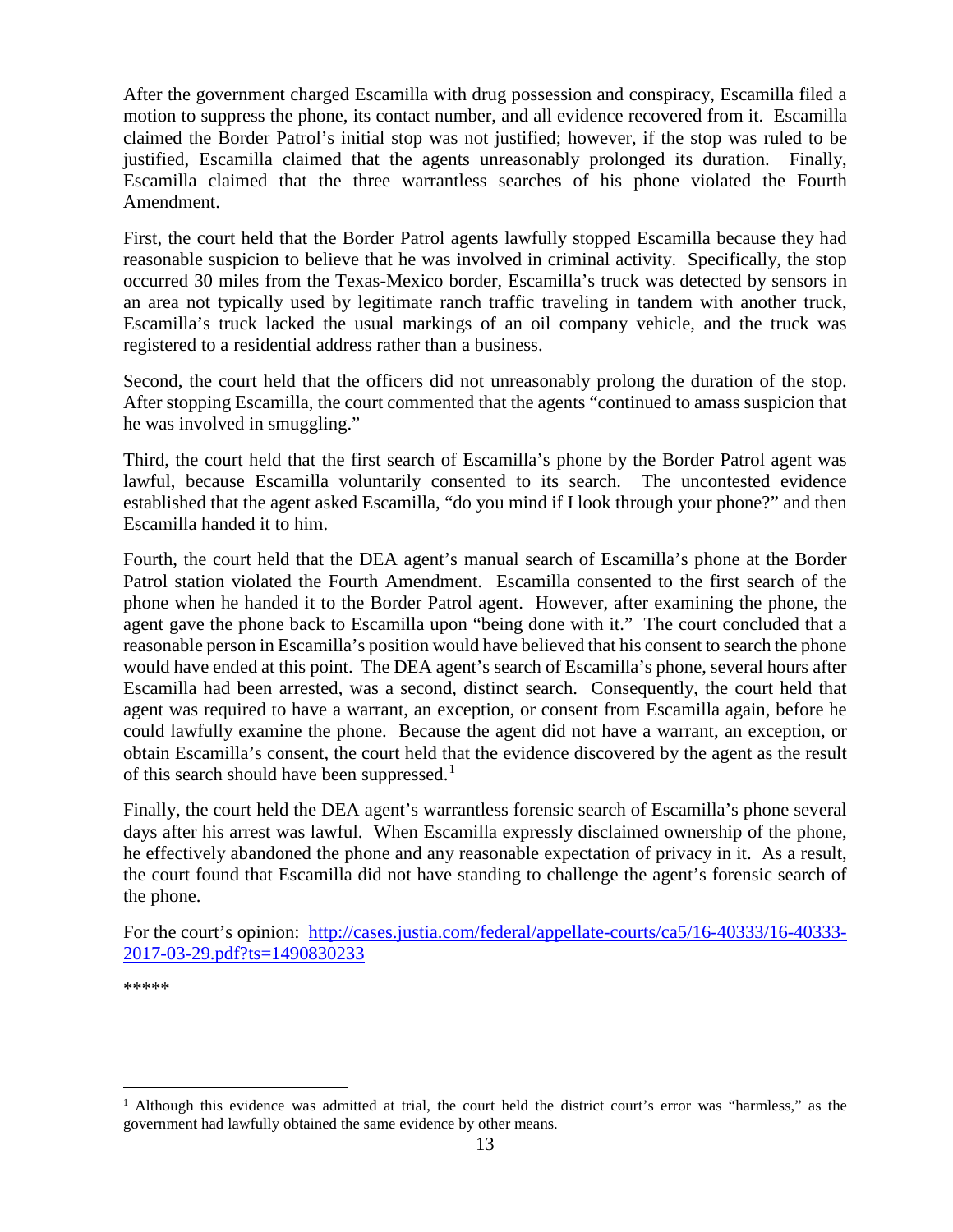After the government charged Escamilla with drug possession and conspiracy, Escamilla filed a motion to suppress the phone, its contact number, and all evidence recovered from it. Escamilla claimed the Border Patrol's initial stop was not justified; however, if the stop was ruled to be justified, Escamilla claimed that the agents unreasonably prolonged its duration. Finally, Escamilla claimed that the three warrantless searches of his phone violated the Fourth Amendment.

First, the court held that the Border Patrol agents lawfully stopped Escamilla because they had reasonable suspicion to believe that he was involved in criminal activity. Specifically, the stop occurred 30 miles from the Texas-Mexico border, Escamilla's truck was detected by sensors in an area not typically used by legitimate ranch traffic traveling in tandem with another truck, Escamilla's truck lacked the usual markings of an oil company vehicle, and the truck was registered to a residential address rather than a business.

Second, the court held that the officers did not unreasonably prolong the duration of the stop. After stopping Escamilla, the court commented that the agents "continued to amass suspicion that he was involved in smuggling."

Third, the court held that the first search of Escamilla's phone by the Border Patrol agent was lawful, because Escamilla voluntarily consented to its search. The uncontested evidence established that the agent asked Escamilla, "do you mind if I look through your phone?" and then Escamilla handed it to him.

Fourth, the court held that the DEA agent's manual search of Escamilla's phone at the Border Patrol station violated the Fourth Amendment. Escamilla consented to the first search of the phone when he handed it to the Border Patrol agent. However, after examining the phone, the agent gave the phone back to Escamilla upon "being done with it." The court concluded that a reasonable person in Escamilla's position would have believed that his consent to search the phone would have ended at this point. The DEA agent's search of Escamilla's phone, several hours after Escamilla had been arrested, was a second, distinct search. Consequently, the court held that agent was required to have a warrant, an exception, or consent from Escamilla again, before he could lawfully examine the phone. Because the agent did not have a warrant, an exception, or obtain Escamilla's consent, the court held that the evidence discovered by the agent as the result of this search should have been suppressed.<sup>[1](#page-12-0)</sup>

Finally, the court held the DEA agent's warrantless forensic search of Escamilla's phone several days after his arrest was lawful. When Escamilla expressly disclaimed ownership of the phone, he effectively abandoned the phone and any reasonable expectation of privacy in it. As a result, the court found that Escamilla did not have standing to challenge the agent's forensic search of the phone.

For the court's opinion: [http://cases.justia.com/federal/appellate-courts/ca5/16-40333/16-40333-](http://cases.justia.com/federal/appellate-courts/ca5/16-40333/16-40333-2017-03-29.pdf?ts=1490830233) [2017-03-29.pdf?ts=1490830233](http://cases.justia.com/federal/appellate-courts/ca5/16-40333/16-40333-2017-03-29.pdf?ts=1490830233)

\*\*\*\*\*

<span id="page-12-0"></span><sup>&</sup>lt;sup>1</sup> Although this evidence was admitted at trial, the court held the district court's error was "harmless," as the government had lawfully obtained the same evidence by other means.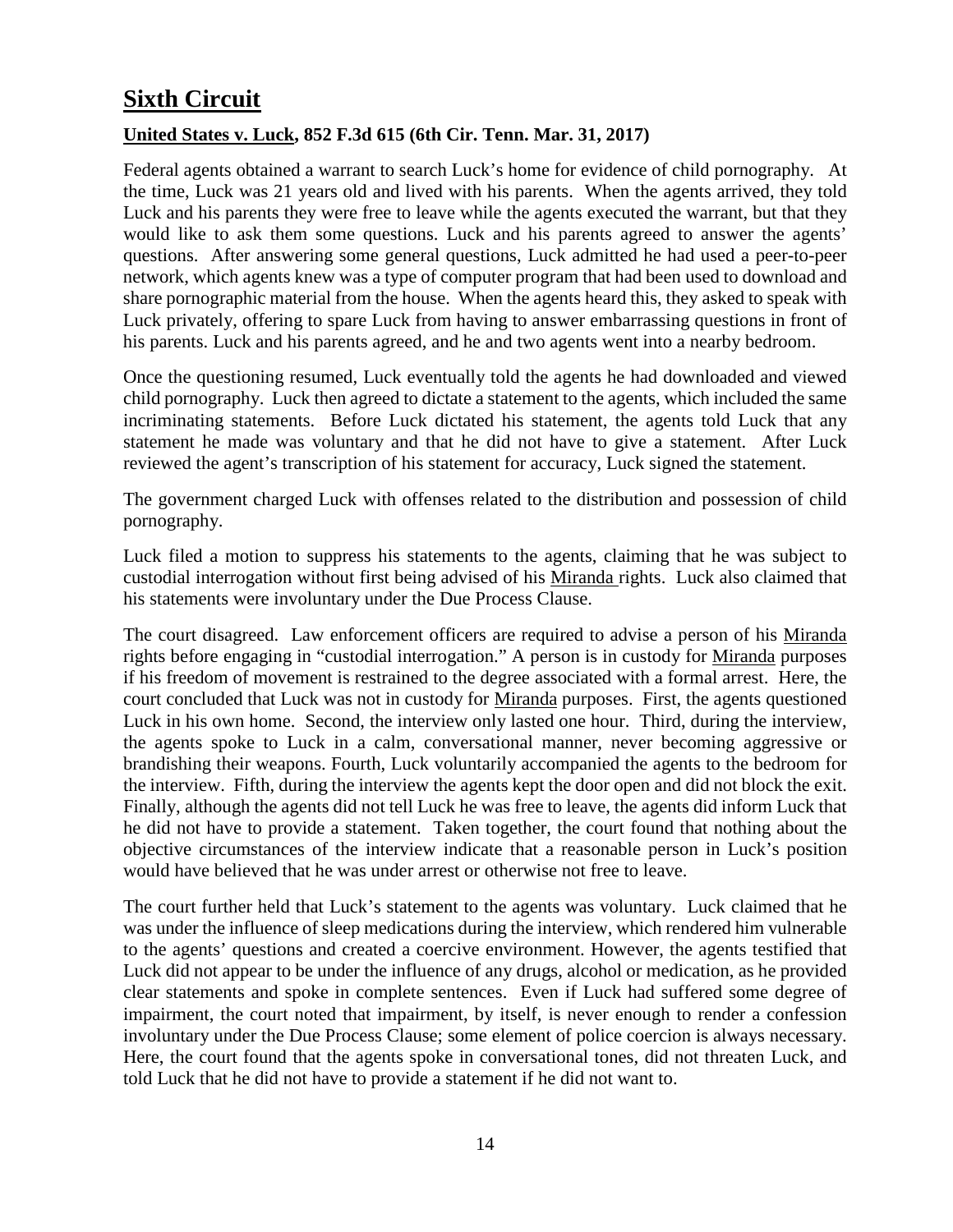# <span id="page-13-0"></span>**Sixth Circuit**

### <span id="page-13-1"></span>**United States v. Luck, 852 F.3d 615 (6th Cir. Tenn. Mar. 31, 2017)**

Federal agents obtained a warrant to search Luck's home for evidence of child pornography. At the time, Luck was 21 years old and lived with his parents. When the agents arrived, they told Luck and his parents they were free to leave while the agents executed the warrant, but that they would like to ask them some questions. Luck and his parents agreed to answer the agents' questions. After answering some general questions, Luck admitted he had used a peer-to-peer network, which agents knew was a type of computer program that had been used to download and share pornographic material from the house. When the agents heard this, they asked to speak with Luck privately, offering to spare Luck from having to answer embarrassing questions in front of his parents. Luck and his parents agreed, and he and two agents went into a nearby bedroom.

Once the questioning resumed, Luck eventually told the agents he had downloaded and viewed child pornography. Luck then agreed to dictate a statement to the agents, which included the same incriminating statements. Before Luck dictated his statement, the agents told Luck that any statement he made was voluntary and that he did not have to give a statement. After Luck reviewed the agent's transcription of his statement for accuracy, Luck signed the statement.

The government charged Luck with offenses related to the distribution and possession of child pornography.

Luck filed a motion to suppress his statements to the agents, claiming that he was subject to custodial interrogation without first being advised of his Miranda rights. Luck also claimed that his statements were involuntary under the Due Process Clause.

The court disagreed. Law enforcement officers are required to advise a person of his Miranda rights before engaging in "custodial interrogation." A person is in custody for Miranda purposes if his freedom of movement is restrained to the degree associated with a formal arrest. Here, the court concluded that Luck was not in custody for Miranda purposes. First, the agents questioned Luck in his own home. Second, the interview only lasted one hour. Third, during the interview, the agents spoke to Luck in a calm, conversational manner, never becoming aggressive or brandishing their weapons. Fourth, Luck voluntarily accompanied the agents to the bedroom for the interview. Fifth, during the interview the agents kept the door open and did not block the exit. Finally, although the agents did not tell Luck he was free to leave, the agents did inform Luck that he did not have to provide a statement. Taken together, the court found that nothing about the objective circumstances of the interview indicate that a reasonable person in Luck's position would have believed that he was under arrest or otherwise not free to leave.

The court further held that Luck's statement to the agents was voluntary. Luck claimed that he was under the influence of sleep medications during the interview, which rendered him vulnerable to the agents' questions and created a coercive environment. However, the agents testified that Luck did not appear to be under the influence of any drugs, alcohol or medication, as he provided clear statements and spoke in complete sentences. Even if Luck had suffered some degree of impairment, the court noted that impairment, by itself, is never enough to render a confession involuntary under the Due Process Clause; some element of police coercion is always necessary. Here, the court found that the agents spoke in conversational tones, did not threaten Luck, and told Luck that he did not have to provide a statement if he did not want to.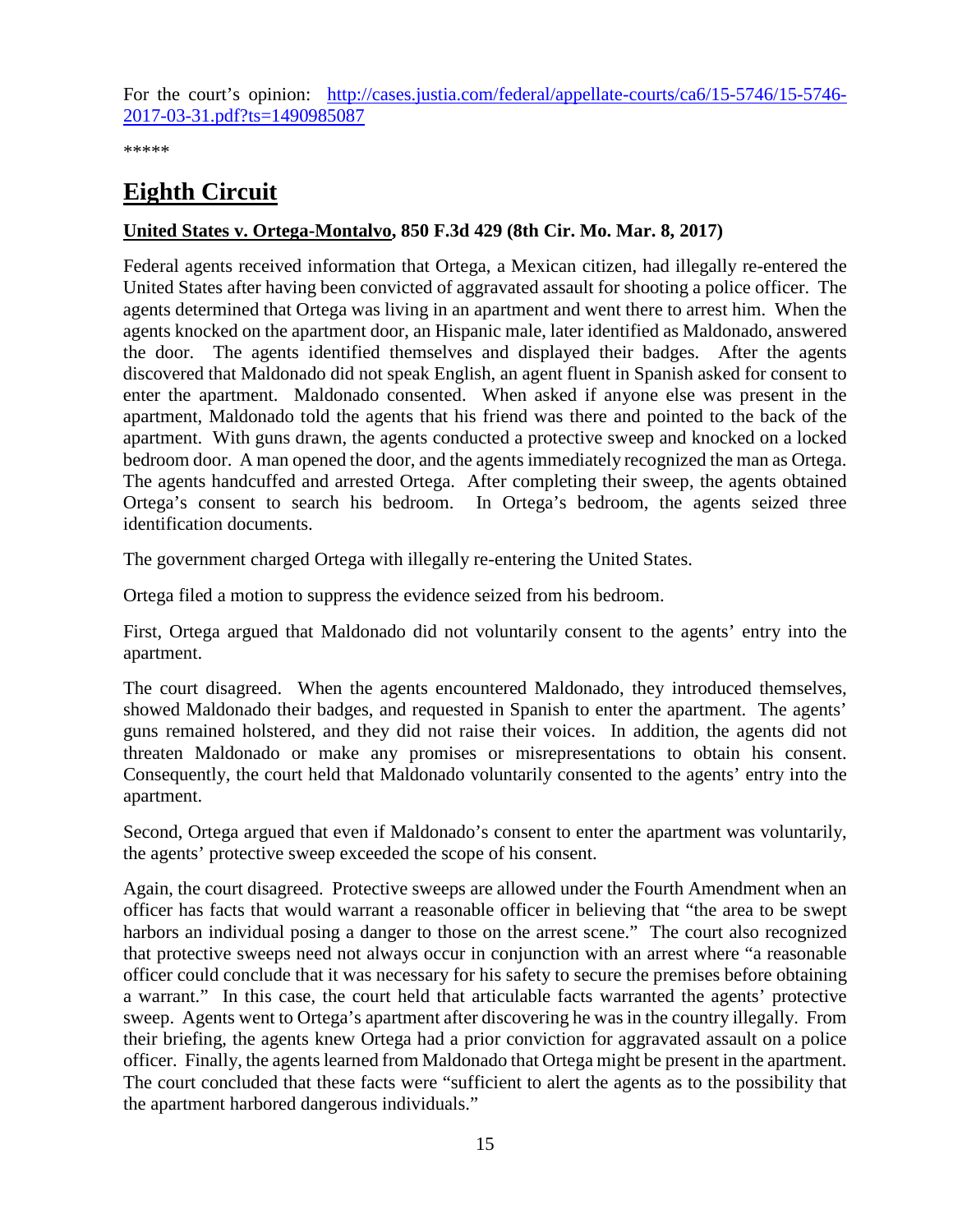For the court's opinion: [http://cases.justia.com/federal/appellate-courts/ca6/15-5746/15-5746-](http://cases.justia.com/federal/appellate-courts/ca6/15-5746/15-5746-2017-03-31.pdf?ts=1490985087) [2017-03-31.pdf?ts=1490985087](http://cases.justia.com/federal/appellate-courts/ca6/15-5746/15-5746-2017-03-31.pdf?ts=1490985087)

\*\*\*\*\*

# <span id="page-14-0"></span>**Eighth Circuit**

### <span id="page-14-1"></span>**United States v. Ortega-Montalvo, 850 F.3d 429 (8th Cir. Mo. Mar. 8, 2017)**

Federal agents received information that Ortega, a Mexican citizen, had illegally re-entered the United States after having been convicted of aggravated assault for shooting a police officer. The agents determined that Ortega was living in an apartment and went there to arrest him. When the agents knocked on the apartment door, an Hispanic male, later identified as Maldonado, answered the door. The agents identified themselves and displayed their badges. After the agents discovered that Maldonado did not speak English, an agent fluent in Spanish asked for consent to enter the apartment. Maldonado consented. When asked if anyone else was present in the apartment, Maldonado told the agents that his friend was there and pointed to the back of the apartment. With guns drawn, the agents conducted a protective sweep and knocked on a locked bedroom door. A man opened the door, and the agents immediately recognized the man as Ortega. The agents handcuffed and arrested Ortega. After completing their sweep, the agents obtained Ortega's consent to search his bedroom. In Ortega's bedroom, the agents seized three identification documents.

The government charged Ortega with illegally re-entering the United States.

Ortega filed a motion to suppress the evidence seized from his bedroom.

First, Ortega argued that Maldonado did not voluntarily consent to the agents' entry into the apartment.

The court disagreed. When the agents encountered Maldonado, they introduced themselves, showed Maldonado their badges, and requested in Spanish to enter the apartment. The agents' guns remained holstered, and they did not raise their voices. In addition, the agents did not threaten Maldonado or make any promises or misrepresentations to obtain his consent. Consequently, the court held that Maldonado voluntarily consented to the agents' entry into the apartment.

Second, Ortega argued that even if Maldonado's consent to enter the apartment was voluntarily, the agents' protective sweep exceeded the scope of his consent.

Again, the court disagreed. Protective sweeps are allowed under the Fourth Amendment when an officer has facts that would warrant a reasonable officer in believing that "the area to be swept harbors an individual posing a danger to those on the arrest scene." The court also recognized that protective sweeps need not always occur in conjunction with an arrest where "a reasonable officer could conclude that it was necessary for his safety to secure the premises before obtaining a warrant." In this case, the court held that articulable facts warranted the agents' protective sweep. Agents went to Ortega's apartment after discovering he was in the country illegally. From their briefing, the agents knew Ortega had a prior conviction for aggravated assault on a police officer. Finally, the agents learned from Maldonado that Ortega might be present in the apartment. The court concluded that these facts were "sufficient to alert the agents as to the possibility that the apartment harbored dangerous individuals."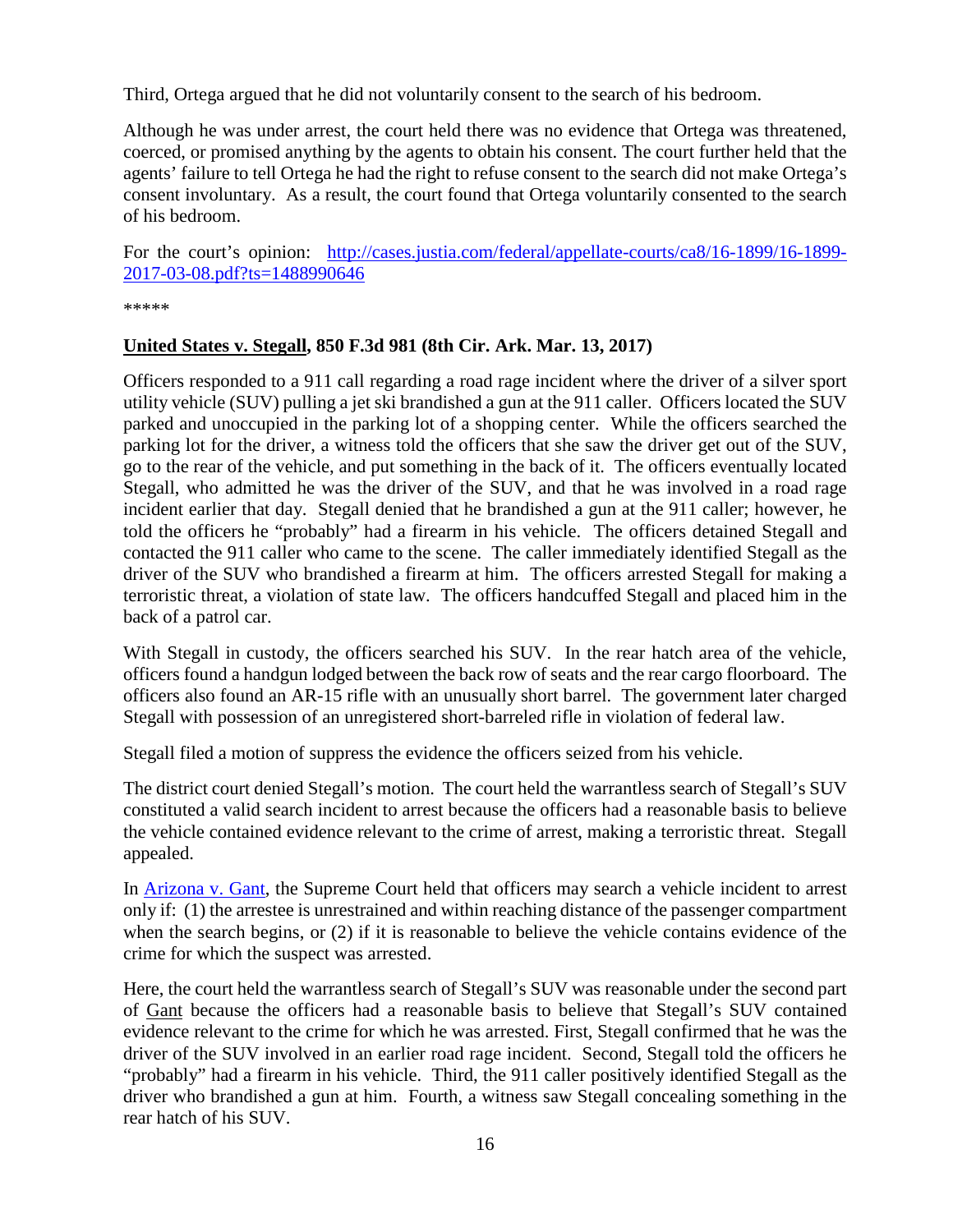Third, Ortega argued that he did not voluntarily consent to the search of his bedroom.

Although he was under arrest, the court held there was no evidence that Ortega was threatened, coerced, or promised anything by the agents to obtain his consent. The court further held that the agents' failure to tell Ortega he had the right to refuse consent to the search did not make Ortega's consent involuntary. As a result, the court found that Ortega voluntarily consented to the search of his bedroom.

For the court's opinion: [http://cases.justia.com/federal/appellate-courts/ca8/16-1899/16-1899-](http://cases.justia.com/federal/appellate-courts/ca8/16-1899/16-1899-2017-03-08.pdf?ts=1488990646) [2017-03-08.pdf?ts=1488990646](http://cases.justia.com/federal/appellate-courts/ca8/16-1899/16-1899-2017-03-08.pdf?ts=1488990646)

\*\*\*\*\*

### <span id="page-15-0"></span>**United States v. Stegall, 850 F.3d 981 (8th Cir. Ark. Mar. 13, 2017)**

Officers responded to a 911 call regarding a road rage incident where the driver of a silver sport utility vehicle (SUV) pulling a jet ski brandished a gun at the 911 caller. Officers located the SUV parked and unoccupied in the parking lot of a shopping center. While the officers searched the parking lot for the driver, a witness told the officers that she saw the driver get out of the SUV, go to the rear of the vehicle, and put something in the back of it. The officers eventually located Stegall, who admitted he was the driver of the SUV, and that he was involved in a road rage incident earlier that day. Stegall denied that he brandished a gun at the 911 caller; however, he told the officers he "probably" had a firearm in his vehicle. The officers detained Stegall and contacted the 911 caller who came to the scene. The caller immediately identified Stegall as the driver of the SUV who brandished a firearm at him. The officers arrested Stegall for making a terroristic threat, a violation of state law. The officers handcuffed Stegall and placed him in the back of a patrol car.

With Stegall in custody, the officers searched his SUV. In the rear hatch area of the vehicle, officers found a handgun lodged between the back row of seats and the rear cargo floorboard. The officers also found an AR-15 rifle with an unusually short barrel. The government later charged Stegall with possession of an unregistered short-barreled rifle in violation of federal law.

Stegall filed a motion of suppress the evidence the officers seized from his vehicle.

The district court denied Stegall's motion. The court held the warrantless search of Stegall's SUV constituted a valid search incident to arrest because the officers had a reasonable basis to believe the vehicle contained evidence relevant to the crime of arrest, making a terroristic threat. Stegall appealed.

In [Arizona v. Gant,](https://supreme.justia.com/cases/federal/us/556/07-542/index.pdf) the Supreme Court held that officers may search a vehicle incident to arrest only if: (1) the arrestee is unrestrained and within reaching distance of the passenger compartment when the search begins, or (2) if it is reasonable to believe the vehicle contains evidence of the crime for which the suspect was arrested.

Here, the court held the warrantless search of Stegall's SUV was reasonable under the second part of Gant because the officers had a reasonable basis to believe that Stegall's SUV contained evidence relevant to the crime for which he was arrested. First, Stegall confirmed that he was the driver of the SUV involved in an earlier road rage incident. Second, Stegall told the officers he "probably" had a firearm in his vehicle. Third, the 911 caller positively identified Stegall as the driver who brandished a gun at him. Fourth, a witness saw Stegall concealing something in the rear hatch of his SUV.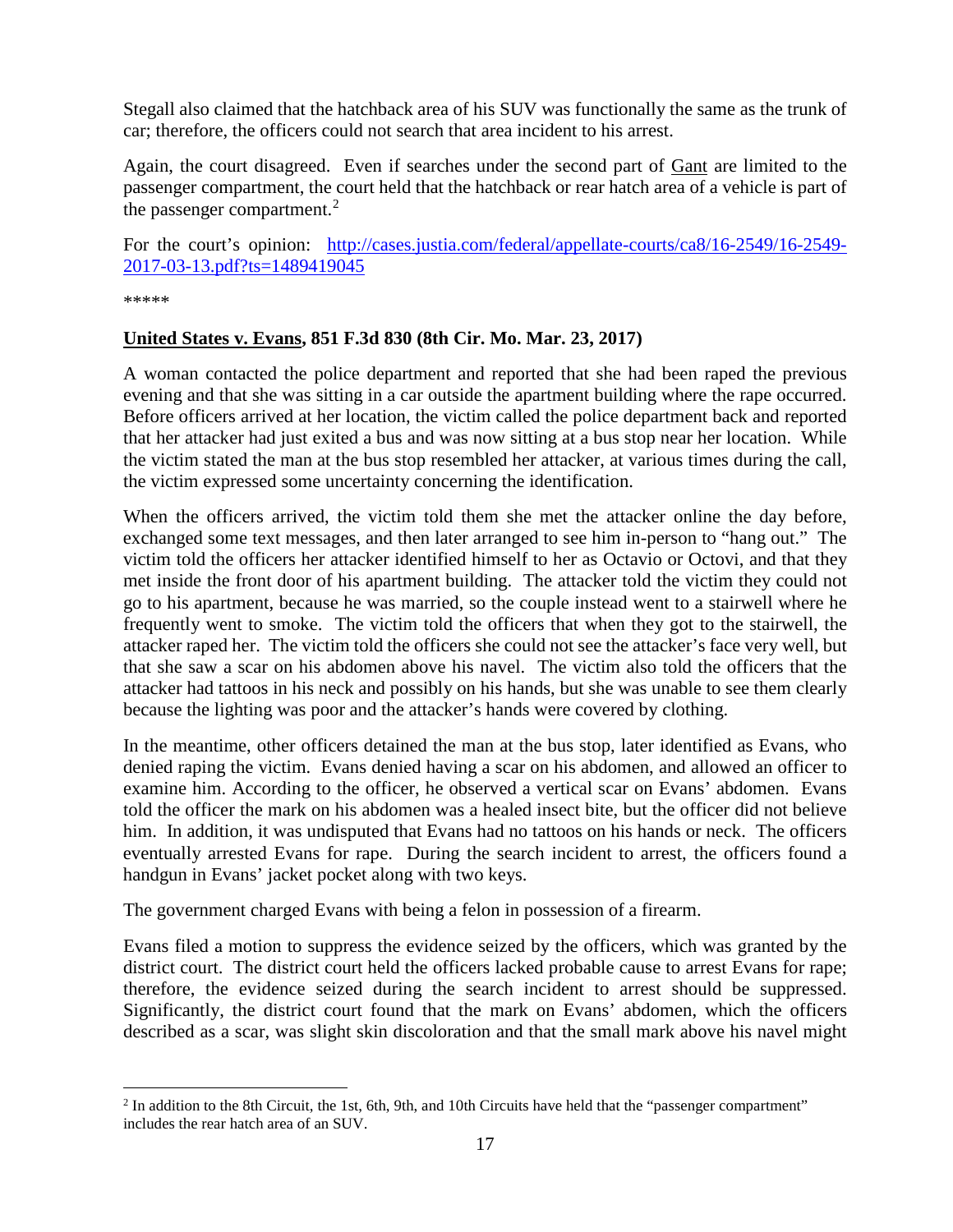Stegall also claimed that the hatchback area of his SUV was functionally the same as the trunk of car; therefore, the officers could not search that area incident to his arrest.

Again, the court disagreed. Even if searches under the second part of Gant are limited to the passenger compartment, the court held that the hatchback or rear hatch area of a vehicle is part of the passenger compartment. $^{2}$  $^{2}$  $^{2}$ 

For the court's opinion: [http://cases.justia.com/federal/appellate-courts/ca8/16-2549/16-2549-](http://cases.justia.com/federal/appellate-courts/ca8/16-2549/16-2549-2017-03-13.pdf?ts=1489419045) [2017-03-13.pdf?ts=1489419045](http://cases.justia.com/federal/appellate-courts/ca8/16-2549/16-2549-2017-03-13.pdf?ts=1489419045)

\*\*\*\*\*

### <span id="page-16-0"></span>**United States v. Evans, 851 F.3d 830 (8th Cir. Mo. Mar. 23, 2017)**

A woman contacted the police department and reported that she had been raped the previous evening and that she was sitting in a car outside the apartment building where the rape occurred. Before officers arrived at her location, the victim called the police department back and reported that her attacker had just exited a bus and was now sitting at a bus stop near her location. While the victim stated the man at the bus stop resembled her attacker, at various times during the call, the victim expressed some uncertainty concerning the identification.

When the officers arrived, the victim told them she met the attacker online the day before, exchanged some text messages, and then later arranged to see him in-person to "hang out." The victim told the officers her attacker identified himself to her as Octavio or Octovi, and that they met inside the front door of his apartment building. The attacker told the victim they could not go to his apartment, because he was married, so the couple instead went to a stairwell where he frequently went to smoke. The victim told the officers that when they got to the stairwell, the attacker raped her. The victim told the officers she could not see the attacker's face very well, but that she saw a scar on his abdomen above his navel. The victim also told the officers that the attacker had tattoos in his neck and possibly on his hands, but she was unable to see them clearly because the lighting was poor and the attacker's hands were covered by clothing.

In the meantime, other officers detained the man at the bus stop, later identified as Evans, who denied raping the victim. Evans denied having a scar on his abdomen, and allowed an officer to examine him. According to the officer, he observed a vertical scar on Evans' abdomen. Evans told the officer the mark on his abdomen was a healed insect bite, but the officer did not believe him. In addition, it was undisputed that Evans had no tattoos on his hands or neck. The officers eventually arrested Evans for rape. During the search incident to arrest, the officers found a handgun in Evans' jacket pocket along with two keys.

The government charged Evans with being a felon in possession of a firearm.

Evans filed a motion to suppress the evidence seized by the officers, which was granted by the district court. The district court held the officers lacked probable cause to arrest Evans for rape; therefore, the evidence seized during the search incident to arrest should be suppressed. Significantly, the district court found that the mark on Evans' abdomen, which the officers described as a scar, was slight skin discoloration and that the small mark above his navel might

<span id="page-16-1"></span><sup>&</sup>lt;sup>2</sup> In addition to the 8th Circuit, the 1st, 6th, 9th, and 10th Circuits have held that the "passenger compartment" includes the rear hatch area of an SUV.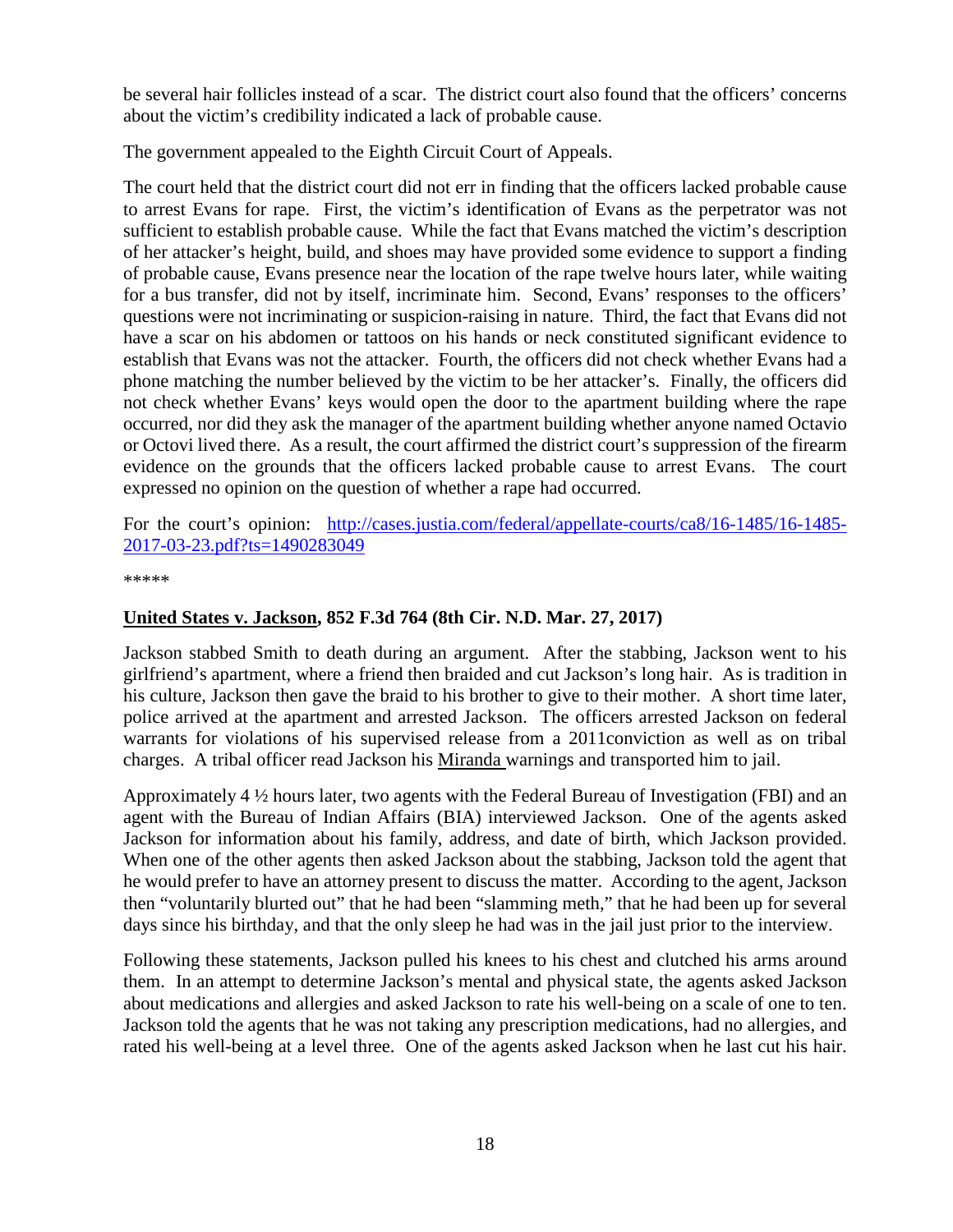be several hair follicles instead of a scar. The district court also found that the officers' concerns about the victim's credibility indicated a lack of probable cause.

The government appealed to the Eighth Circuit Court of Appeals.

The court held that the district court did not err in finding that the officers lacked probable cause to arrest Evans for rape. First, the victim's identification of Evans as the perpetrator was not sufficient to establish probable cause. While the fact that Evans matched the victim's description of her attacker's height, build, and shoes may have provided some evidence to support a finding of probable cause, Evans presence near the location of the rape twelve hours later, while waiting for a bus transfer, did not by itself, incriminate him. Second, Evans' responses to the officers' questions were not incriminating or suspicion-raising in nature. Third, the fact that Evans did not have a scar on his abdomen or tattoos on his hands or neck constituted significant evidence to establish that Evans was not the attacker. Fourth, the officers did not check whether Evans had a phone matching the number believed by the victim to be her attacker's. Finally, the officers did not check whether Evans' keys would open the door to the apartment building where the rape occurred, nor did they ask the manager of the apartment building whether anyone named Octavio or Octovi lived there. As a result, the court affirmed the district court's suppression of the firearm evidence on the grounds that the officers lacked probable cause to arrest Evans. The court expressed no opinion on the question of whether a rape had occurred.

For the court's opinion: [http://cases.justia.com/federal/appellate-courts/ca8/16-1485/16-1485-](http://cases.justia.com/federal/appellate-courts/ca8/16-1485/16-1485-2017-03-23.pdf?ts=1490283049) [2017-03-23.pdf?ts=1490283049](http://cases.justia.com/federal/appellate-courts/ca8/16-1485/16-1485-2017-03-23.pdf?ts=1490283049)

\*\*\*\*\*

### <span id="page-17-0"></span>**United States v. Jackson, 852 F.3d 764 (8th Cir. N.D. Mar. 27, 2017)**

Jackson stabbed Smith to death during an argument. After the stabbing, Jackson went to his girlfriend's apartment, where a friend then braided and cut Jackson's long hair. As is tradition in his culture, Jackson then gave the braid to his brother to give to their mother. A short time later, police arrived at the apartment and arrested Jackson. The officers arrested Jackson on federal warrants for violations of his supervised release from a 2011conviction as well as on tribal charges. A tribal officer read Jackson his Miranda warnings and transported him to jail.

Approximately 4 ½ hours later, two agents with the Federal Bureau of Investigation (FBI) and an agent with the Bureau of Indian Affairs (BIA) interviewed Jackson. One of the agents asked Jackson for information about his family, address, and date of birth, which Jackson provided. When one of the other agents then asked Jackson about the stabbing, Jackson told the agent that he would prefer to have an attorney present to discuss the matter. According to the agent, Jackson then "voluntarily blurted out" that he had been "slamming meth," that he had been up for several days since his birthday, and that the only sleep he had was in the jail just prior to the interview.

Following these statements, Jackson pulled his knees to his chest and clutched his arms around them. In an attempt to determine Jackson's mental and physical state, the agents asked Jackson about medications and allergies and asked Jackson to rate his well-being on a scale of one to ten. Jackson told the agents that he was not taking any prescription medications, had no allergies, and rated his well-being at a level three. One of the agents asked Jackson when he last cut his hair.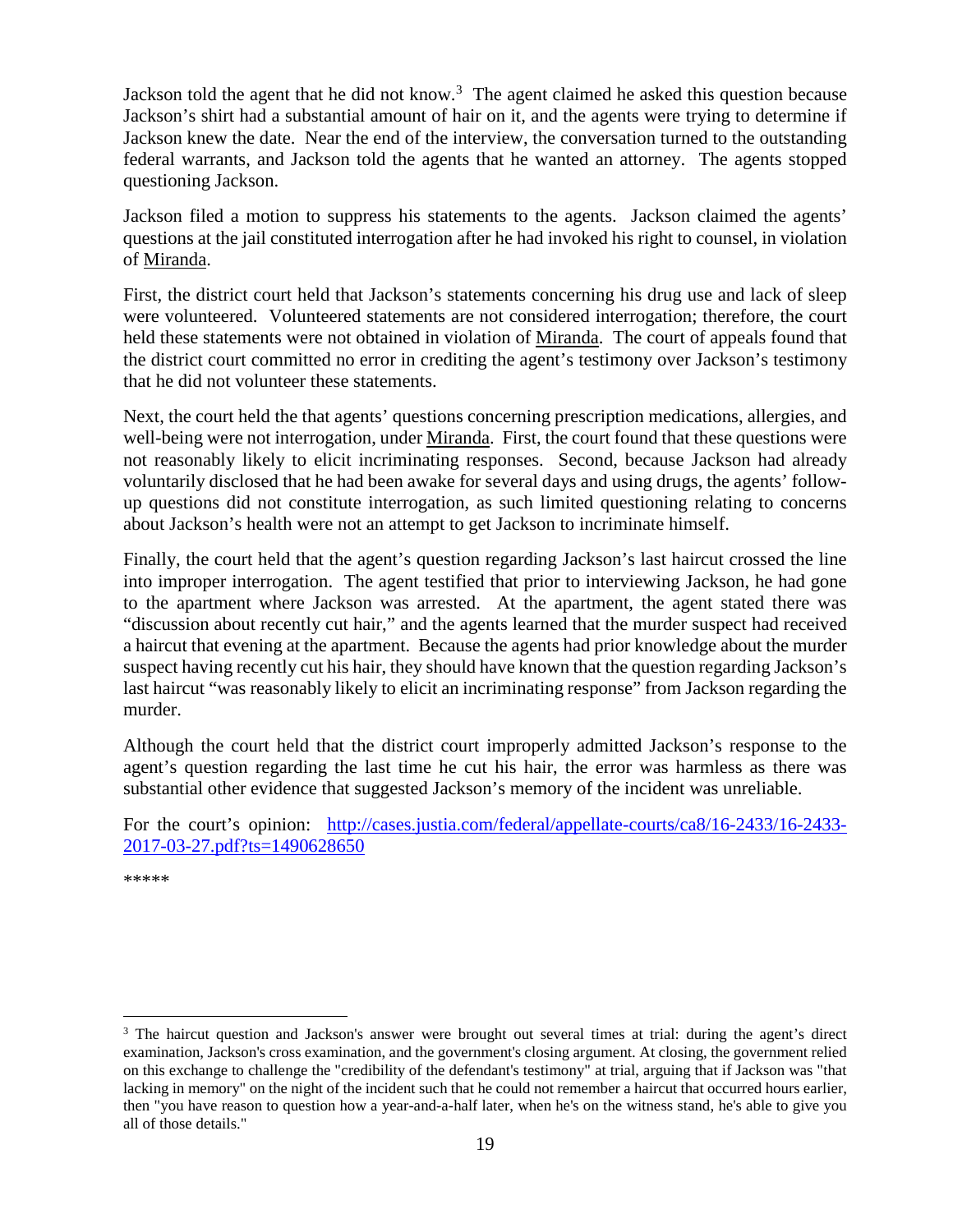Jackson told the agent that he did not know.<sup>[3](#page-18-0)</sup> The agent claimed he asked this question because Jackson's shirt had a substantial amount of hair on it, and the agents were trying to determine if Jackson knew the date. Near the end of the interview, the conversation turned to the outstanding federal warrants, and Jackson told the agents that he wanted an attorney. The agents stopped questioning Jackson.

Jackson filed a motion to suppress his statements to the agents. Jackson claimed the agents' questions at the jail constituted interrogation after he had invoked his right to counsel, in violation of Miranda.

First, the district court held that Jackson's statements concerning his drug use and lack of sleep were volunteered. Volunteered statements are not considered interrogation; therefore, the court held these statements were not obtained in violation of Miranda. The court of appeals found that the district court committed no error in crediting the agent's testimony over Jackson's testimony that he did not volunteer these statements.

Next, the court held the that agents' questions concerning prescription medications, allergies, and well-being were not interrogation, under Miranda. First, the court found that these questions were not reasonably likely to elicit incriminating responses. Second, because Jackson had already voluntarily disclosed that he had been awake for several days and using drugs, the agents' followup questions did not constitute interrogation, as such limited questioning relating to concerns about Jackson's health were not an attempt to get Jackson to incriminate himself.

Finally, the court held that the agent's question regarding Jackson's last haircut crossed the line into improper interrogation. The agent testified that prior to interviewing Jackson, he had gone to the apartment where Jackson was arrested. At the apartment, the agent stated there was "discussion about recently cut hair," and the agents learned that the murder suspect had received a haircut that evening at the apartment. Because the agents had prior knowledge about the murder suspect having recently cut his hair, they should have known that the question regarding Jackson's last haircut "was reasonably likely to elicit an incriminating response" from Jackson regarding the murder.

Although the court held that the district court improperly admitted Jackson's response to the agent's question regarding the last time he cut his hair, the error was harmless as there was substantial other evidence that suggested Jackson's memory of the incident was unreliable.

For the court's opinion: [http://cases.justia.com/federal/appellate-courts/ca8/16-2433/16-2433-](http://cases.justia.com/federal/appellate-courts/ca8/16-2433/16-2433-2017-03-27.pdf?ts=1490628650) [2017-03-27.pdf?ts=1490628650](http://cases.justia.com/federal/appellate-courts/ca8/16-2433/16-2433-2017-03-27.pdf?ts=1490628650)

\*\*\*\*\*

<span id="page-18-0"></span><sup>&</sup>lt;sup>3</sup> The haircut question and Jackson's answer were brought out several times at trial: during the agent's direct examination, Jackson's cross examination, and the government's closing argument. At closing, the government relied on this exchange to challenge the "credibility of the defendant's testimony" at trial, arguing that if Jackson was "that lacking in memory" on the night of the incident such that he could not remember a haircut that occurred hours earlier, then "you have reason to question how a year-and-a-half later, when he's on the witness stand, he's able to give you all of those details."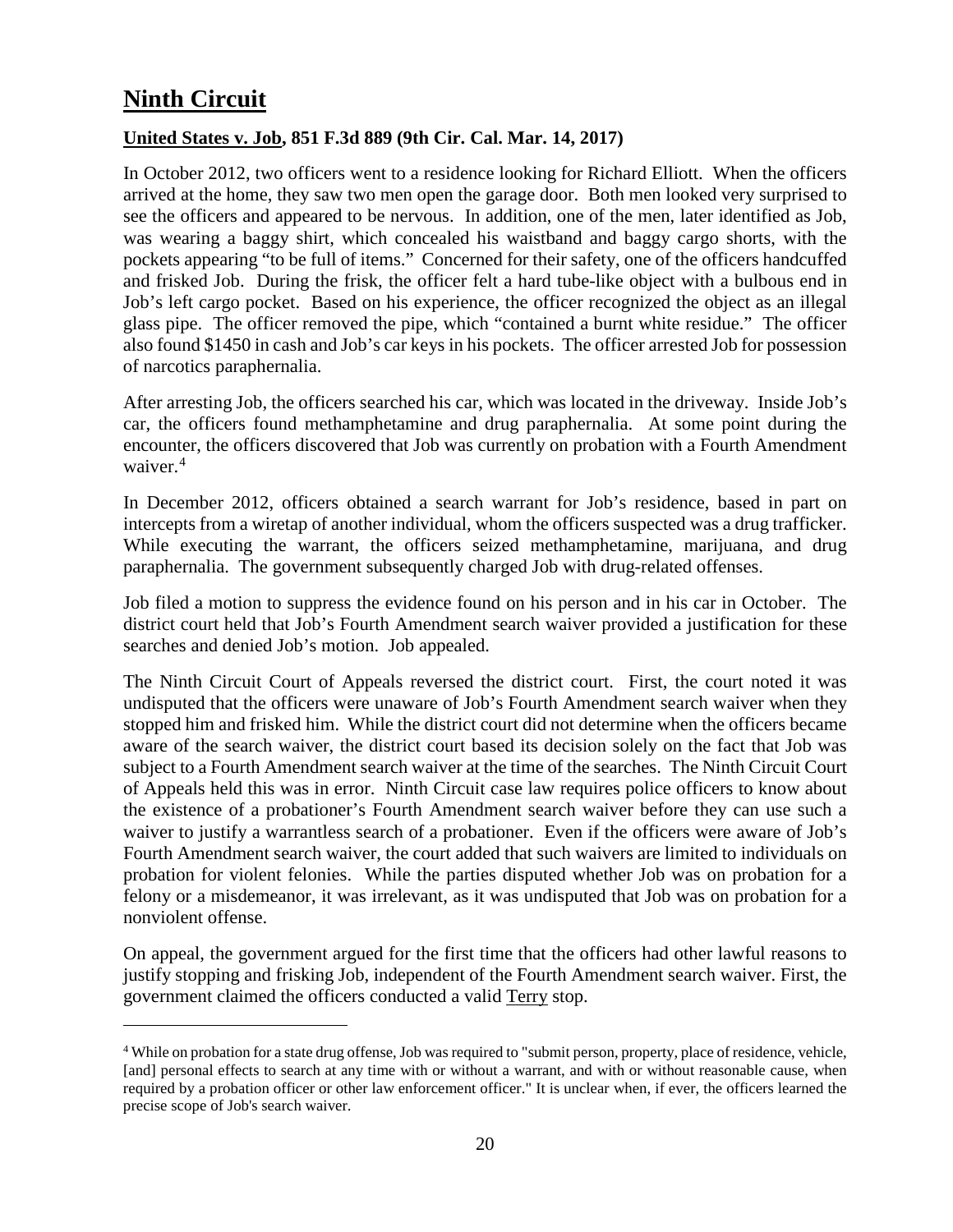# <span id="page-19-0"></span>**Ninth Circuit**

 $\overline{a}$ 

### <span id="page-19-1"></span>**United States v. Job, 851 F.3d 889 (9th Cir. Cal. Mar. 14, 2017)**

In October 2012, two officers went to a residence looking for Richard Elliott. When the officers arrived at the home, they saw two men open the garage door. Both men looked very surprised to see the officers and appeared to be nervous. In addition, one of the men, later identified as Job, was wearing a baggy shirt, which concealed his waistband and baggy cargo shorts, with the pockets appearing "to be full of items." Concerned for their safety, one of the officers handcuffed and frisked Job. During the frisk, the officer felt a hard tube-like object with a bulbous end in Job's left cargo pocket. Based on his experience, the officer recognized the object as an illegal glass pipe. The officer removed the pipe, which "contained a burnt white residue." The officer also found \$1450 in cash and Job's car keys in his pockets. The officer arrested Job for possession of narcotics paraphernalia.

After arresting Job, the officers searched his car, which was located in the driveway. Inside Job's car, the officers found methamphetamine and drug paraphernalia. At some point during the encounter, the officers discovered that Job was currently on probation with a Fourth Amendment waiver.<sup>[4](#page-19-2)</sup>

In December 2012, officers obtained a search warrant for Job's residence, based in part on intercepts from a wiretap of another individual, whom the officers suspected was a drug trafficker. While executing the warrant, the officers seized methamphetamine, marijuana, and drug paraphernalia. The government subsequently charged Job with drug-related offenses.

Job filed a motion to suppress the evidence found on his person and in his car in October. The district court held that Job's Fourth Amendment search waiver provided a justification for these searches and denied Job's motion. Job appealed.

The Ninth Circuit Court of Appeals reversed the district court. First, the court noted it was undisputed that the officers were unaware of Job's Fourth Amendment search waiver when they stopped him and frisked him. While the district court did not determine when the officers became aware of the search waiver, the district court based its decision solely on the fact that Job was subject to a Fourth Amendment search waiver at the time of the searches. The Ninth Circuit Court of Appeals held this was in error. Ninth Circuit case law requires police officers to know about the existence of a probationer's Fourth Amendment search waiver before they can use such a waiver to justify a warrantless search of a probationer. Even if the officers were aware of Job's Fourth Amendment search waiver, the court added that such waivers are limited to individuals on probation for violent felonies. While the parties disputed whether Job was on probation for a felony or a misdemeanor, it was irrelevant, as it was undisputed that Job was on probation for a nonviolent offense.

On appeal, the government argued for the first time that the officers had other lawful reasons to justify stopping and frisking Job, independent of the Fourth Amendment search waiver. First, the government claimed the officers conducted a valid Terry stop.

<span id="page-19-2"></span><sup>4</sup> While on probation for a state drug offense, Job was required to "submit person, property, place of residence, vehicle, [and] personal effects to search at any time with or without a warrant, and with or without reasonable cause, when required by a probation officer or other law enforcement officer." It is unclear when, if ever, the officers learned the precise scope of Job's search waiver.